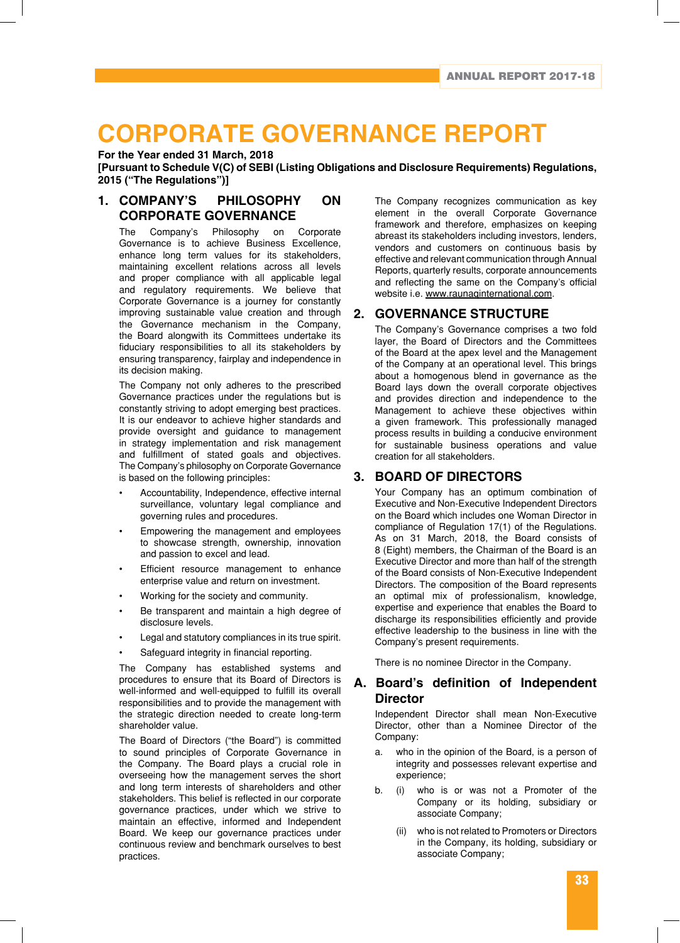# **CORPORATE GOVERNANCE REPORT**

**For the Year ended 31 March, 2018**

**[Pursuant to Schedule V(C) of SEBI (Listing Obligations and Disclosure Requirements) Regulations, 2015 ("The Regulations")]**

### **1. COMPANY'S PHILOSOPHY ON CORPORATE GOVERNANCE**

The Company's Philosophy on Corporate Governance is to achieve Business Excellence, enhance long term values for its stakeholders, maintaining excellent relations across all levels and proper compliance with all applicable legal and regulatory requirements. We believe that Corporate Governance is a journey for constantly improving sustainable value creation and through the Governance mechanism in the Company, the Board alongwith its Committees undertake its fiduciary responsibilities to all its stakeholders by ensuring transparency, fairplay and independence in its decision making.

The Company not only adheres to the prescribed Governance practices under the regulations but is constantly striving to adopt emerging best practices. It is our endeavor to achieve higher standards and provide oversight and guidance to management in strategy implementation and risk management and fulfillment of stated goals and objectives. The Company's philosophy on Corporate Governance is based on the following principles:

- Accountability, Independence, effective internal surveillance, voluntary legal compliance and governing rules and procedures.
- Empowering the management and employees to showcase strength, ownership, innovation and passion to excel and lead.
- Efficient resource management to enhance enterprise value and return on investment.
- Working for the society and community.
- Be transparent and maintain a high degree of disclosure levels.
- Legal and statutory compliances in its true spirit.
- Safeguard integrity in financial reporting.

The Company has established systems and procedures to ensure that its Board of Directors is well-informed and well-equipped to fulfill its overall responsibilities and to provide the management with the strategic direction needed to create long-term shareholder value.

The Board of Directors ("the Board") is committed to sound principles of Corporate Governance in the Company. The Board plays a crucial role in overseeing how the management serves the short and long term interests of shareholders and other stakeholders. This belief is reflected in our corporate governance practices, under which we strive to maintain an effective, informed and Independent Board. We keep our governance practices under continuous review and benchmark ourselves to best practices.

The Company recognizes communication as key element in the overall Corporate Governance framework and therefore, emphasizes on keeping abreast its stakeholders including investors, lenders, vendors and customers on continuous basis by effective and relevant communication through Annual Reports, quarterly results, corporate announcements and reflecting the same on the Company's official website i.e. www.raunaqinternational.com.

### **2. GOVERNANCE STRUCTURE**

The Company's Governance comprises a two fold layer, the Board of Directors and the Committees of the Board at the apex level and the Management of the Company at an operational level. This brings about a homogenous blend in governance as the Board lays down the overall corporate objectives and provides direction and independence to the Management to achieve these objectives within a given framework. This professionally managed process results in building a conducive environment for sustainable business operations and value creation for all stakeholders.

### **3. BOARD OF DIRECTORS**

Your Company has an optimum combination of Executive and Non-Executive Independent Directors on the Board which includes one Woman Director in compliance of Regulation 17(1) of the Regulations. As on 31 March, 2018, the Board consists of 8 (Eight) members, the Chairman of the Board is an Executive Director and more than half of the strength of the Board consists of Non-Executive Independent Directors. The composition of the Board represents an optimal mix of professionalism, knowledge, expertise and experience that enables the Board to discharge its responsibilities efficiently and provide effective leadership to the business in line with the Company's present requirements.

There is no nominee Director in the Company.

### **A. Board's definition of Independent Director**

Independent Director shall mean Non-Executive Director, other than a Nominee Director of the Company:

- a. who in the opinion of the Board, is a person of integrity and possesses relevant expertise and experience;
- b. (i) who is or was not a Promoter of the Company or its holding, subsidiary or associate Company;
	- (ii) who is not related to Promoters or Directors in the Company, its holding, subsidiary or associate Company;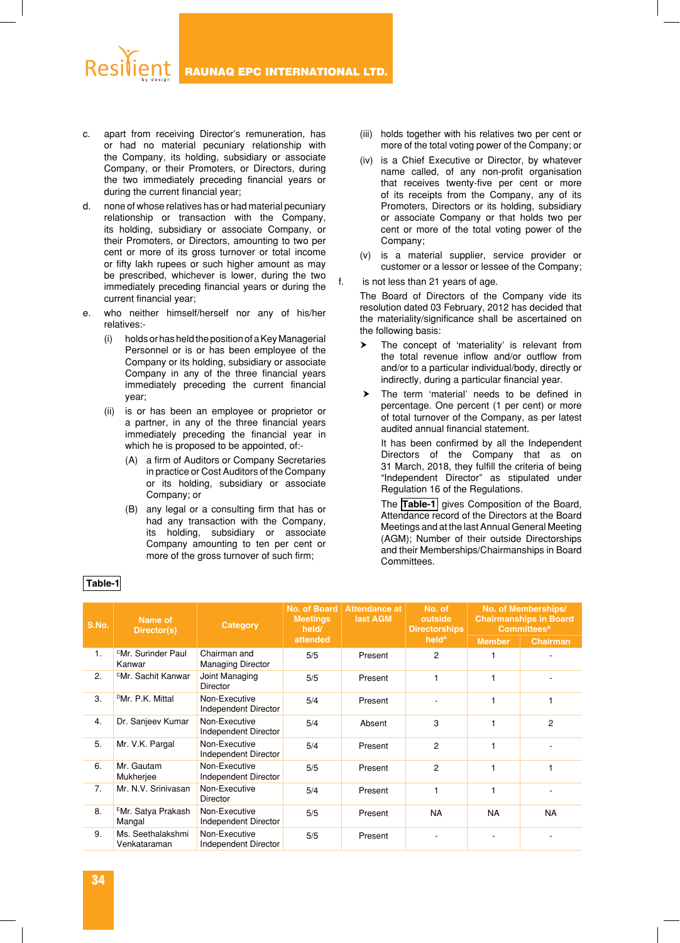Raunaq epc international Ltd.

c. apart from receiving Director's remuneration, has or had no material pecuniary relationship with the Company, its holding, subsidiary or associate Company, or their Promoters, or Directors, during the two immediately preceding financial years or during the current financial year;

Resilient

- d. none of whose relatives has or had material pecuniary relationship or transaction with the Company, its holding, subsidiary or associate Company, or their Promoters, or Directors, amounting to two per cent or more of its gross turnover or total income or fifty lakh rupees or such higher amount as may be prescribed, whichever is lower, during the two immediately preceding financial years or during the current financial year;
- e. who neither himself/herself nor any of his/her relatives:-
	- (i) holds or has held the position of a Key Managerial Personnel or is or has been employee of the Company or its holding, subsidiary or associate Company in any of the three financial years immediately preceding the current financial year;
	- (ii) is or has been an employee or proprietor or a partner, in any of the three financial years immediately preceding the financial year in which he is proposed to be appointed, of:-
		- (A) a firm of Auditors or Company Secretaries in practice or Cost Auditors of the Company or its holding, subsidiary or associate Company; or
		- (B) any legal or a consulting firm that has or had any transaction with the Company, its holding, subsidiary or associate Company amounting to ten per cent or more of the gross turnover of such firm;
- (iii) holds together with his relatives two per cent or more of the total voting power of the Company; or
- (iv) is a Chief Executive or Director, by whatever name called, of any non-profit organisation that receives twenty-five per cent or more of its receipts from the Company, any of its Promoters, Directors or its holding, subsidiary or associate Company or that holds two per cent or more of the total voting power of the Company;
- (v) is a material supplier, service provider or customer or a lessor or lessee of the Company;
- f. is not less than 21 years of age.

The Board of Directors of the Company vide its resolution dated 03 February, 2012 has decided that the materiality/significance shall be ascertained on the following basis:

- The concept of 'materiality' is relevant from the total revenue inflow and/or outflow from and/or to a particular individual/body, directly or indirectly, during a particular financial year.
- The term 'material' needs to be defined in percentage. One percent (1 per cent) or more of total turnover of the Company, as per latest audited annual financial statement.

 It has been confirmed by all the Independent Directors of the Company that as on 31 March, 2018, they fulfill the criteria of being "Independent Director" as stipulated under Regulation 16 of the Regulations.

 The **Table-1** gives Composition of the Board, Attendance record of the Directors at the Board Meetings and at the last Annual General Meeting (AGM); Number of their outside Directorships and their Memberships/Chairmanships in Board **Committees** 

| S.No.          | Name of<br>Director(s)                   | Category                                 | <b>No. of Board</b><br><b>Meetings</b><br>held/ | <b>Attendance at</b><br>last AGM | No. of<br>outside<br><b>Directorships</b> |               | No. of Memberships/<br><b>Chairmanships in Board</b><br><b>Committees</b> <sup>B</sup> |  |
|----------------|------------------------------------------|------------------------------------------|-------------------------------------------------|----------------------------------|-------------------------------------------|---------------|----------------------------------------------------------------------------------------|--|
|                |                                          |                                          | attended                                        |                                  | held <sup>A</sup>                         | <b>Member</b> | Chairman                                                                               |  |
| 1.             | <sup>c</sup> Mr. Surinder Paul<br>Kanwar | Chairman and<br><b>Managing Director</b> | 5/5                                             | Present                          | $\overline{c}$                            |               |                                                                                        |  |
| 2.             | <sup>c</sup> Mr. Sachit Kanwar           | Joint Managing<br><b>Director</b>        | 5/5                                             | Present                          |                                           |               |                                                                                        |  |
| 3.             | <sup>D</sup> Mr. P.K. Mittal             | Non-Executive<br>Independent Director    | 5/4                                             | Present                          |                                           | 1             | 1                                                                                      |  |
| 4.             | Dr. Sanjeev Kumar                        | Non-Executive<br>Independent Director    | 5/4                                             | Absent                           | 3                                         | 1             | 2                                                                                      |  |
| 5.             | Mr. V.K. Pargal                          | Non-Executive<br>Independent Director    | 5/4                                             | Present                          | $\overline{c}$                            | 1             |                                                                                        |  |
| 6.             | Mr. Gautam<br>Mukherjee                  | Non-Executive<br>Independent Director    | 5/5                                             | Present                          | 2                                         | 1             | 1                                                                                      |  |
| 7 <sub>1</sub> | Mr. N.V. Srinivasan                      | Non-Executive<br>Director                | 5/4                                             | Present                          |                                           | 1             |                                                                                        |  |
| 8.             | EMr. Satya Prakash<br>Mangal             | Non-Executive<br>Independent Director    | 5/5                                             | Present                          | <b>NA</b>                                 | <b>NA</b>     | <b>NA</b>                                                                              |  |
| 9.             | Ms. Seethalakshmi<br>Venkataraman        | Non-Executive<br>Independent Director    | 5/5                                             | Present                          |                                           |               |                                                                                        |  |

#### **Table-1**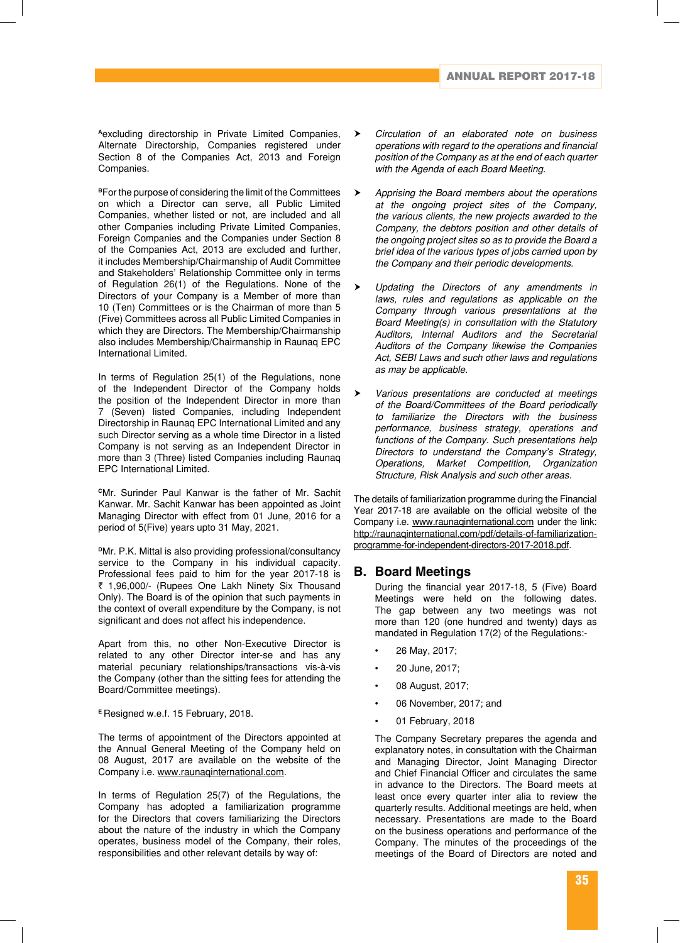**<sup>A</sup>**excluding directorship in Private Limited Companies, Alternate Directorship, Companies registered under Section 8 of the Companies Act, 2013 and Foreign Companies.

**<sup>B</sup>**For the purpose of considering the limit of the Committees on which a Director can serve, all Public Limited Companies, whether listed or not, are included and all other Companies including Private Limited Companies, Foreign Companies and the Companies under Section 8 of the Companies Act, 2013 are excluded and further, it includes Membership/Chairmanship of Audit Committee and Stakeholders' Relationship Committee only in terms of Regulation 26(1) of the Regulations. None of the Directors of your Company is a Member of more than 10 (Ten) Committees or is the Chairman of more than 5 (Five) Committees across all Public Limited Companies in which they are Directors. The Membership/Chairmanship also includes Membership/Chairmanship in Raunaq EPC International Limited.

In terms of Regulation 25(1) of the Regulations, none of the Independent Director of the Company holds the position of the Independent Director in more than 7 (Seven) listed Companies, including Independent Directorship in Raunaq EPC International Limited and any such Director serving as a whole time Director in a listed Company is not serving as an Independent Director in more than 3 (Three) listed Companies including Raunaq EPC International Limited.

**<sup>C</sup>**Mr. Surinder Paul Kanwar is the father of Mr. Sachit Kanwar. Mr. Sachit Kanwar has been appointed as Joint Managing Director with effect from 01 June, 2016 for a period of 5(Five) years upto 31 May, 2021.

**PMr. P.K. Mittal is also providing professional/consultancy** service to the Company in his individual capacity. Professional fees paid to him for the year 2017-18 is ₹ 1,96,000/- (Rupees One Lakh Ninety Six Thousand Only). The Board is of the opinion that such payments in the context of overall expenditure by the Company, is not significant and does not affect his independence.

Apart from this, no other Non-Executive Director is related to any other Director inter-se and has any material pecuniary relationships/transactions vis-à-vis the Company (other than the sitting fees for attending the Board/Committee meetings).

**<sup>E</sup>** Resigned w.e.f. 15 February, 2018.

The terms of appointment of the Directors appointed at the Annual General Meeting of the Company held on 08 August, 2017 are available on the website of the Company i.e. www.raunaqinternational.com.

In terms of Regulation 25(7) of the Regulations, the Company has adopted a familiarization programme for the Directors that covers familiarizing the Directors about the nature of the industry in which the Company operates, business model of the Company, their roles, responsibilities and other relevant details by way of:

- *Circulation of an elaborated note on business operations with regard to the operations and financial position of the Company as at the end of each quarter with the Agenda of each Board Meeting.*
- *Apprising the Board members about the operations at the ongoing project sites of the Company, the various clients, the new projects awarded to the Company, the debtors position and other details of the ongoing project sites so as to provide the Board a brief idea of the various types of jobs carried upon by the Company and their periodic developments.*
- *Updating the Directors of any amendments in laws, rules and regulations as applicable on the Company through various presentations at the Board Meeting(s) in consultation with the Statutory Auditors, Internal Auditors and the Secretarial Auditors of the Company likewise the Companies Act, SEBI Laws and such other laws and regulations as may be applicable.*
- *Various presentations are conducted at meetings of the Board/Committees of the Board periodically to familiarize the Directors with the business performance, business strategy, operations and functions of the Company. Such presentations help Directors to understand the Company's Strategy, Operations, Market Competition, Organization Structure, Risk Analysis and such other areas.*

The details of familiarization programme during the Financial Year 2017-18 are available on the official website of the Company i.e. www.raunaqinternational.com under the link: http://raunaqinternational.com/pdf/details-of-familiarizationprogramme-for-independent-directors-2017-2018.pdf.

### **B. Board Meetings**

During the financial year 2017-18, 5 (Five) Board Meetings were held on the following dates. The gap between any two meetings was not more than 120 (one hundred and twenty) days as mandated in Regulation 17(2) of the Regulations:-

- 26 May, 2017;
- 20 June, 2017;
- 08 August, 2017;
- 06 November, 2017; and
- 01 February, 2018

The Company Secretary prepares the agenda and explanatory notes, in consultation with the Chairman and Managing Director, Joint Managing Director and Chief Financial Officer and circulates the same in advance to the Directors. The Board meets at least once every quarter inter alia to review the quarterly results. Additional meetings are held, when necessary. Presentations are made to the Board on the business operations and performance of the Company. The minutes of the proceedings of the meetings of the Board of Directors are noted and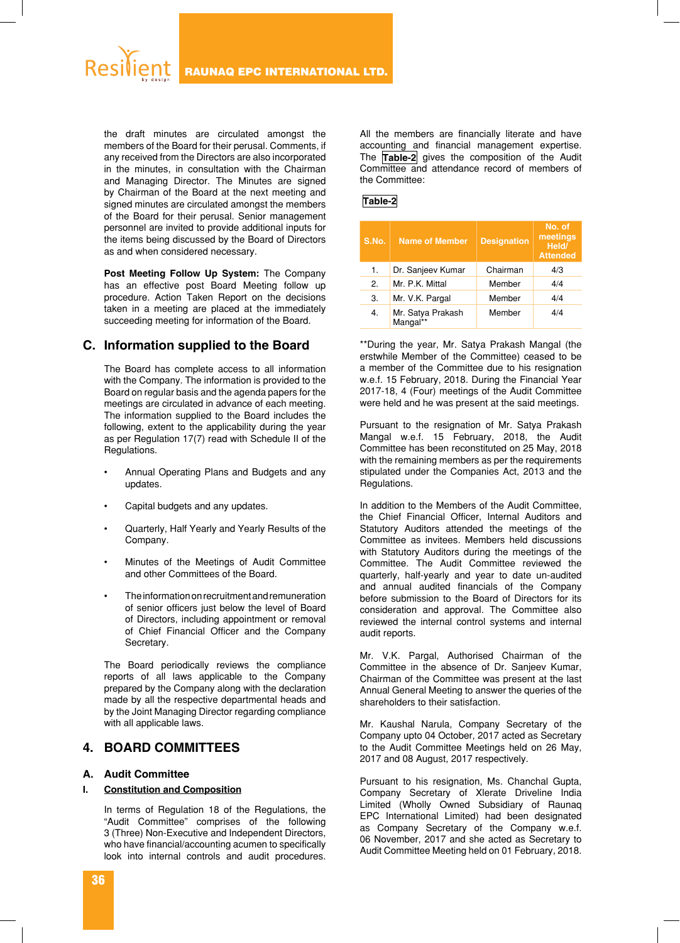the draft minutes are circulated amongst the members of the Board for their perusal. Comments, if any received from the Directors are also incorporated in the minutes, in consultation with the Chairman and Managing Director. The Minutes are signed by Chairman of the Board at the next meeting and signed minutes are circulated amongst the members of the Board for their perusal. Senior management personnel are invited to provide additional inputs for the items being discussed by the Board of Directors as and when considered necessary.

**Post Meeting Follow Up System:** The Company has an effective post Board Meeting follow up procedure. Action Taken Report on the decisions taken in a meeting are placed at the immediately succeeding meeting for information of the Board.

### **C. Information supplied to the Board**

The Board has complete access to all information with the Company. The information is provided to the Board on regular basis and the agenda papers for the meetings are circulated in advance of each meeting. The information supplied to the Board includes the following, extent to the applicability during the year as per Regulation 17(7) read with Schedule II of the Regulations.

- Annual Operating Plans and Budgets and any updates.
- Capital budgets and any updates.
- Quarterly, Half Yearly and Yearly Results of the Company.
- Minutes of the Meetings of Audit Committee and other Committees of the Board.
- The information on recruitment and remuneration of senior officers just below the level of Board of Directors, including appointment or removal of Chief Financial Officer and the Company Secretary.

The Board periodically reviews the compliance reports of all laws applicable to the Company prepared by the Company along with the declaration made by all the respective departmental heads and by the Joint Managing Director regarding compliance with all applicable laws.

### **4. BOARD COMMITTEES**

#### **A. Audit Committee**

#### **I. Constitution and Composition**

In terms of Regulation 18 of the Regulations, the "Audit Committee" comprises of the following 3 (Three) Non-Executive and Independent Directors, who have financial/accounting acumen to specifically look into internal controls and audit procedures. All the members are financially literate and have accounting and financial management expertise. The **Table-2** gives the composition of the Audit Committee and attendance record of members of the Committee:

#### **Table-2**

| S.No.         | <b>Name of Member</b>         | <b>Designation</b> | No. of<br>meetings<br>Held/<br><b>Attended</b> |
|---------------|-------------------------------|--------------------|------------------------------------------------|
| 1.            | Dr. Sanjeev Kumar             | Chairman           | 4/3                                            |
| $\mathcal{P}$ | Mr. P.K. Mittal               | Member             | 4/4                                            |
| 3.            | Mr. V.K. Pargal               | Member             | 4/4                                            |
| 4.            | Mr. Satya Prakash<br>Mangal** | Member             | 4/4                                            |

\*\*During the year, Mr. Satya Prakash Mangal (the erstwhile Member of the Committee) ceased to be a member of the Committee due to his resignation w.e.f. 15 February, 2018. During the Financial Year 2017-18, 4 (Four) meetings of the Audit Committee were held and he was present at the said meetings.

Pursuant to the resignation of Mr. Satya Prakash Mangal w.e.f. 15 February, 2018, the Audit Committee has been reconstituted on 25 May, 2018 with the remaining members as per the requirements stipulated under the Companies Act, 2013 and the Regulations.

In addition to the Members of the Audit Committee, the Chief Financial Officer, Internal Auditors and Statutory Auditors attended the meetings of the Committee as invitees. Members held discussions with Statutory Auditors during the meetings of the Committee. The Audit Committee reviewed the quarterly, half-yearly and year to date un-audited and annual audited financials of the Company before submission to the Board of Directors for its consideration and approval. The Committee also reviewed the internal control systems and internal audit reports.

 Mr. V.K. Pargal, Authorised Chairman of the Committee in the absence of Dr. Sanjeev Kumar, Chairman of the Committee was present at the last Annual General Meeting to answer the queries of the shareholders to their satisfaction.

Mr. Kaushal Narula, Company Secretary of the Company upto 04 October, 2017 acted as Secretary to the Audit Committee Meetings held on 26 May, 2017 and 08 August, 2017 respectively.

Pursuant to his resignation, Ms. Chanchal Gupta, Company Secretary of Xlerate Driveline India Limited (Wholly Owned Subsidiary of Raunaq EPC International Limited) had been designated as Company Secretary of the Company w.e.f. 06 November, 2017 and she acted as Secretary to Audit Committee Meeting held on 01 February, 2018.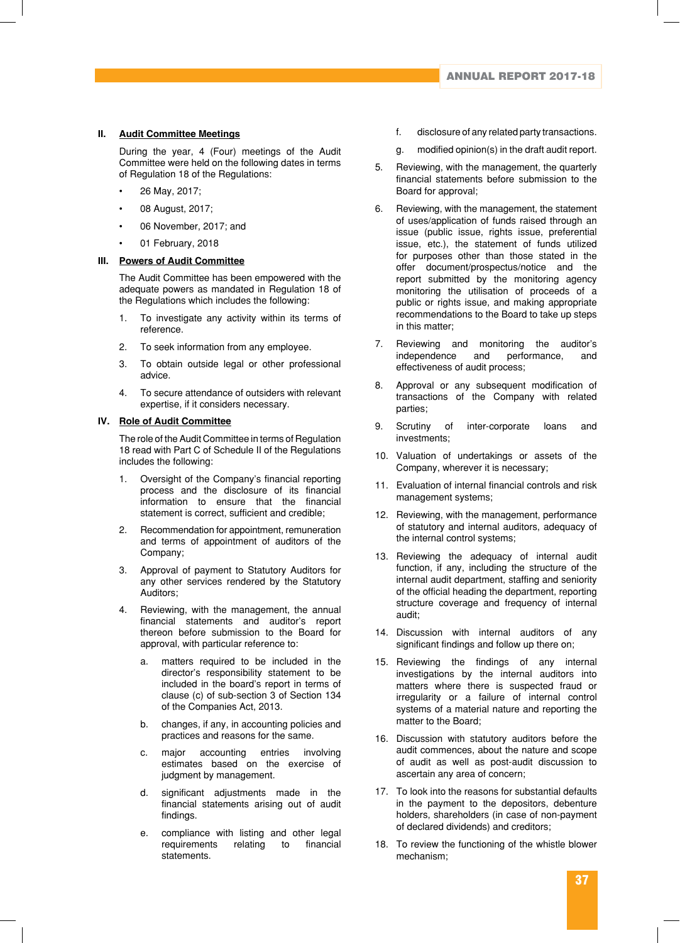#### **II. Audit Committee Meetings**

During the year, 4 (Four) meetings of the Audit Committee were held on the following dates in terms of Regulation 18 of the Regulations:

- 26 May, 2017;
- 08 August, 2017;
- 06 November, 2017; and
- 01 February, 2018

#### **III. Powers of Audit Committee**

The Audit Committee has been empowered with the adequate powers as mandated in Regulation 18 of the Regulations which includes the following:

- 1. To investigate any activity within its terms of reference.
- 2. To seek information from any employee.
- 3. To obtain outside legal or other professional advice.
- 4. To secure attendance of outsiders with relevant expertise, if it considers necessary.

#### **IV. Role of Audit Committee**

The role of the Audit Committee in terms of Regulation 18 read with Part C of Schedule II of the Regulations includes the following:

- 1. Oversight of the Company's financial reporting process and the disclosure of its financial information to ensure that the financial statement is correct, sufficient and credible;
- 2. Recommendation for appointment, remuneration and terms of appointment of auditors of the Company;
- 3. Approval of payment to Statutory Auditors for any other services rendered by the Statutory Auditors;
- 4. Reviewing, with the management, the annual financial statements and auditor's report thereon before submission to the Board for approval, with particular reference to:
	- a. matters required to be included in the director's responsibility statement to be included in the board's report in terms of clause (c) of sub-section 3 of Section 134 of the Companies Act, 2013.
	- b. changes, if any, in accounting policies and practices and reasons for the same.
	- c. major accounting entries involving estimates based on the exercise of judgment by management.
	- d. significant adjustments made in the financial statements arising out of audit findings.
	- e. compliance with listing and other legal requirements relating to financial statements.
- f. disclosure of any related party transactions.
- g. modified opinion(s) in the draft audit report.
- 5. Reviewing, with the management, the quarterly financial statements before submission to the Board for approval;
- 6. Reviewing, with the management, the statement of uses/application of funds raised through an issue (public issue, rights issue, preferential issue, etc.), the statement of funds utilized for purposes other than those stated in the offer document/prospectus/notice and the report submitted by the monitoring agency monitoring the utilisation of proceeds of a public or rights issue, and making appropriate recommendations to the Board to take up steps in this matter;
- 7. Reviewing and monitoring the auditor's independence and performance, and effectiveness of audit process;
- 8. Approval or any subsequent modification of transactions of the Company with related parties;
- 9. Scrutiny of inter-corporate loans and investments;
- 10. Valuation of undertakings or assets of the Company, wherever it is necessary;
- 11. Evaluation of internal financial controls and risk management systems;
- 12. Reviewing, with the management, performance of statutory and internal auditors, adequacy of the internal control systems;
- 13. Reviewing the adequacy of internal audit function, if any, including the structure of the internal audit department, staffing and seniority of the official heading the department, reporting structure coverage and frequency of internal audit;
- 14. Discussion with internal auditors of any significant findings and follow up there on;
- 15. Reviewing the findings of any internal investigations by the internal auditors into matters where there is suspected fraud or irregularity or a failure of internal control systems of a material nature and reporting the matter to the Board;
- 16. Discussion with statutory auditors before the audit commences, about the nature and scope of audit as well as post-audit discussion to ascertain any area of concern;
- 17. To look into the reasons for substantial defaults in the payment to the depositors, debenture holders, shareholders (in case of non-payment of declared dividends) and creditors;
- 18. To review the functioning of the whistle blower mechanism;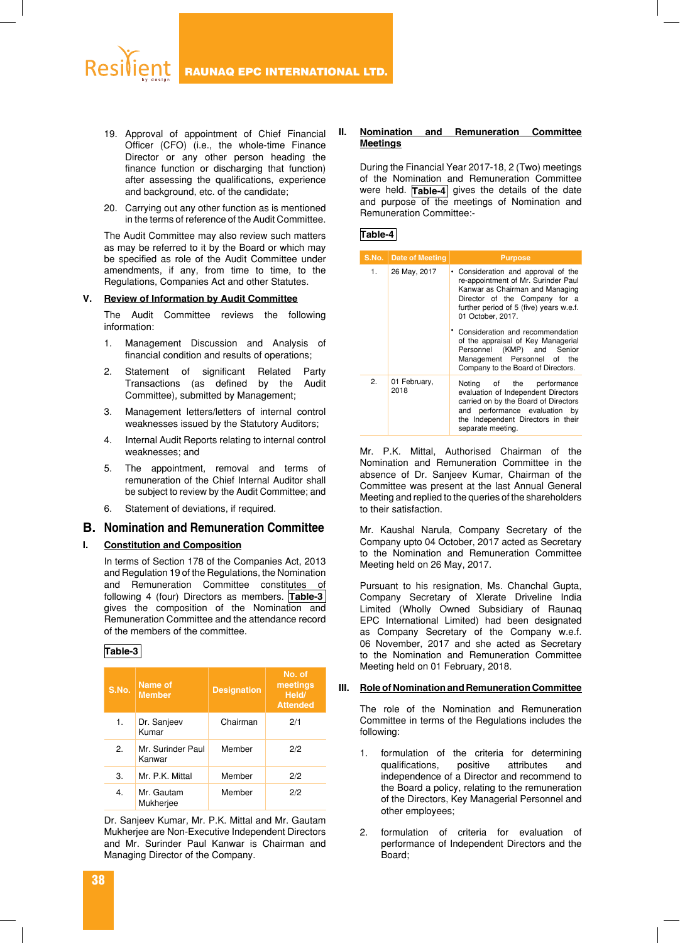Resilient Raunaq epc international Ltd.

- 19. Approval of appointment of Chief Financial Officer (CFO) (i.e., the whole-time Finance Director or any other person heading the finance function or discharging that function) after assessing the qualifications, experience and background, etc. of the candidate;
- 20. Carrying out any other function as is mentioned in the terms of reference of the Audit Committee.

The Audit Committee may also review such matters as may be referred to it by the Board or which may be specified as role of the Audit Committee under amendments, if any, from time to time, to the Regulations, Companies Act and other Statutes.

#### **V. Review of Information by Audit Committee**

The Audit Committee reviews the following information:

- 1. Management Discussion and Analysis of financial condition and results of operations;
- 2. Statement of significant Related Party Transactions (as defined by the Audit Committee), submitted by Management;
- 3. Management letters/letters of internal control weaknesses issued by the Statutory Auditors;
- 4. Internal Audit Reports relating to internal control weaknesses; and
- 5. The appointment, removal and terms of remuneration of the Chief Internal Auditor shall be subject to review by the Audit Committee; and
- 6. Statement of deviations, if required.

#### **B. Nomination and Remuneration Committee**

#### **I. Constitution and Composition**

In terms of Section 178 of the Companies Act, 2013 and Regulation 19 of the Regulations, the Nomination and Remuneration Committee constitutes of following 4 (four) Directors as members. **Table-3** gives the composition of the Nomination and Remuneration Committee and the attendance record of the members of the committee.

#### **Table-3**

| S.No.         | Name of<br><b>Member</b>    | <b>Designation</b> | No. of<br>meetings<br>Held/<br><b>Attended</b> |
|---------------|-----------------------------|--------------------|------------------------------------------------|
| 1.            | Dr. Sanjeev<br>Kumar        | Chairman           | 2/1                                            |
| $\mathcal{P}$ | Mr. Surinder Paul<br>Kanwar | Member             | 2/2                                            |
| 3.            | Mr. P.K. Mittal             | Member             | 2/2                                            |
| 4.            | Mr. Gautam<br>Mukherjee     | Member             | 2/2                                            |

Dr. Sanjeev Kumar, Mr. P.K. Mittal and Mr. Gautam Mukherjee are Non-Executive Independent Directors and Mr. Surinder Paul Kanwar is Chairman and Managing Director of the Company.

#### **Nomination and Remuneration Committee Meetings**

During the Financial Year 2017-18, 2 (Two) meetings of the Nomination and Remuneration Committee were held. **Table-4** gives the details of the date and purpose of the meetings of Nomination and Remuneration Committee:-

#### **Table-4**

|    | S.No.   Date of Meeting | <b>Purpose</b>                                                                                                                                                                                                 |
|----|-------------------------|----------------------------------------------------------------------------------------------------------------------------------------------------------------------------------------------------------------|
| 1. | 26 May, 2017            | • Consideration and approval of the<br>re-appointment of Mr. Surinder Paul<br>Kanwar as Chairman and Managing<br>Director of the Company for a<br>further period of 5 (five) years w.e.f.<br>01 October, 2017. |
|    |                         | * Consideration and recommendation<br>of the appraisal of Key Managerial<br>Personnel (KMP) and Senior<br>Management Personnel of the<br>Company to the Board of Directors.                                    |
| 2. | 01 February,<br>2018    | Noting of the performance<br>evaluation of Independent Directors<br>carried on by the Board of Directors<br>and performance evaluation by<br>the Independent Directors in their<br>separate meeting.           |

Mr. P.K. Mittal, Authorised Chairman of the Nomination and Remuneration Committee in the absence of Dr. Sanjeev Kumar, Chairman of the Committee was present at the last Annual General Meeting and replied to the queries of the shareholders to their satisfaction.

Mr. Kaushal Narula, Company Secretary of the Company upto 04 October, 2017 acted as Secretary to the Nomination and Remuneration Committee Meeting held on 26 May, 2017.

Pursuant to his resignation, Ms. Chanchal Gupta, Company Secretary of Xlerate Driveline India Limited (Wholly Owned Subsidiary of Raunaq EPC International Limited) had been designated as Company Secretary of the Company w.e.f. 06 November, 2017 and she acted as Secretary to the Nomination and Remuneration Committee Meeting held on 01 February, 2018.

#### **III. Role of Nomination and Remuneration Committee**

The role of the Nomination and Remuneration Committee in terms of the Regulations includes the following:

- 1. formulation of the criteria for determining qualifications, positive attributes and independence of a Director and recommend to the Board a policy, relating to the remuneration of the Directors, Key Managerial Personnel and other employees;
- 2. formulation of criteria for evaluation of performance of Independent Directors and the Board;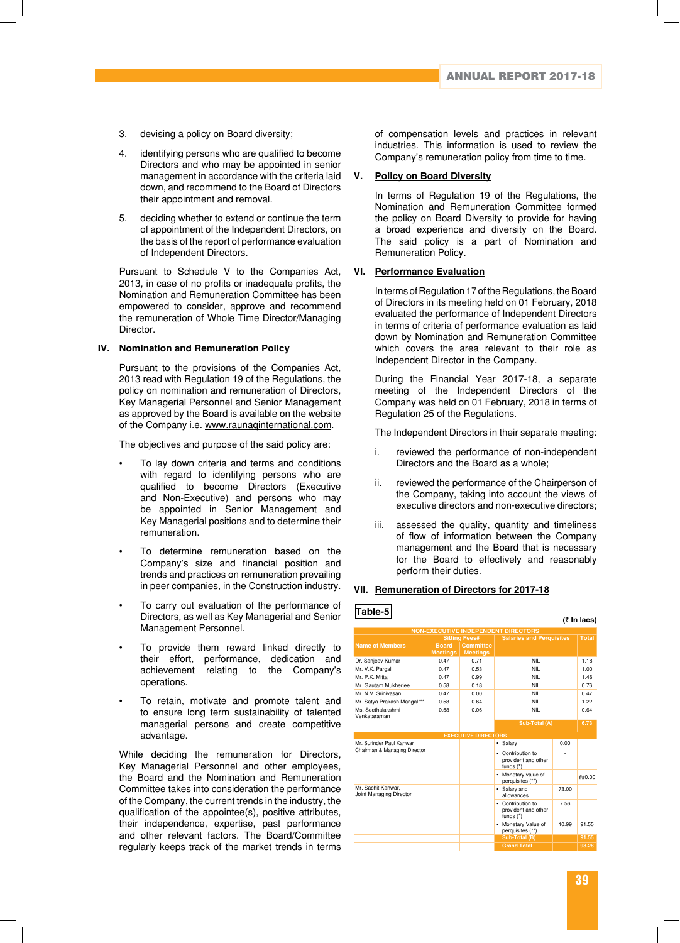- 3. devising a policy on Board diversity;
- 4. identifying persons who are qualified to become Directors and who may be appointed in senior management in accordance with the criteria laid down, and recommend to the Board of Directors their appointment and removal.
- 5. deciding whether to extend or continue the term of appointment of the Independent Directors, on the basis of the report of performance evaluation of Independent Directors.

 Pursuant to Schedule V to the Companies Act, 2013, in case of no profits or inadequate profits, the Nomination and Remuneration Committee has been empowered to consider, approve and recommend the remuneration of Whole Time Director/Managing Director.

#### **IV. Nomination and Remuneration Policy**

Pursuant to the provisions of the Companies Act, 2013 read with Regulation 19 of the Regulations, the policy on nomination and remuneration of Directors, Key Managerial Personnel and Senior Management as approved by the Board is available on the website of the Company i.e. www.raunaqinternational.com.

 The objectives and purpose of the said policy are:

- To lay down criteria and terms and conditions with regard to identifying persons who are qualified to become Directors (Executive and Non-Executive) and persons who may be appointed in Senior Management and Key Managerial positions and to determine their remuneration.
- To determine remuneration based on the Company's size and financial position and trends and practices on remuneration prevailing in peer companies, in the Construction industry.
- To carry out evaluation of the performance of Directors, as well as Key Managerial and Senior Management Personnel.
- To provide them reward linked directly to their effort, performance, dedication and achievement relating to the Company's operations.
- To retain, motivate and promote talent and to ensure long term sustainability of talented managerial persons and create competitive advantage.

While deciding the remuneration for Directors, Key Managerial Personnel and other employees, the Board and the Nomination and Remuneration Committee takes into consideration the performance of the Company, the current trends in the industry, the qualification of the appointee(s), positive attributes, their independence, expertise, past performance and other relevant factors. The Board/Committee regularly keeps track of the market trends in terms of compensation levels and practices in relevant industries. This information is used to review the Company's remuneration policy from time to time.

#### **V. Policy on Board Diversity**

In terms of Regulation 19 of the Regulations, the Nomination and Remuneration Committee formed the policy on Board Diversity to provide for having a broad experience and diversity on the Board. The said policy is a part of Nomination and Remuneration Policy.

#### **VI. Performance Evaluation**

In terms of Regulation 17 of the Regulations, the Board of Directors in its meeting held on 01 February, 2018 evaluated the performance of Independent Directors in terms of criteria of performance evaluation as laid down by Nomination and Remuneration Committee which covers the area relevant to their role as Independent Director in the Company.

During the Financial Year 2017-18, a separate meeting of the Independent Directors of the Company was held on 01 February, 2018 in terms of Regulation 25 of the Regulations.

 The Independent Directors in their separate meeting:

- i. reviewed the performance of non-independent Directors and the Board as a whole;
- ii. reviewed the performance of the Chairperson of the Company, taking into account the views of executive directors and non-executive directors;
- iii. assessed the quality, quantity and timeliness of flow of information between the Company management and the Board that is necessary for the Board to effectively and reasonably perform their duties.

#### **VII. Remuneration of Directors for 2017-18**

| Table-5<br>(₹ In lacs)                        |                          |                                     |                                                                               |                |              |
|-----------------------------------------------|--------------------------|-------------------------------------|-------------------------------------------------------------------------------|----------------|--------------|
|                                               |                          | <b>Sitting Fees#</b>                | <b>NON-EXECUTIVE INDEPENDENT DIRECTORS</b><br><b>Salaries and Perquisites</b> |                | <b>Total</b> |
| <b>Name of Members</b>                        | <b>Board</b><br>Meetings | <b>Committee</b><br><b>Meetings</b> |                                                                               |                |              |
| Dr. Sanjeev Kumar                             | 0.47                     | 0.71                                | NII.                                                                          |                | 1.18         |
| Mr. V.K. Pargal                               | 0.47                     | 0.53                                | NII.                                                                          |                | 1.00         |
| Mr. P.K. Mittal                               | 0.47                     | 0.99                                | NII.                                                                          |                | 1.46         |
| Mr. Gautam Mukheriee                          | 0.58                     | 0.18                                | NII.                                                                          |                | 0.76         |
| Mr. N.V. Srinivasan                           | 0.47                     | 0.00                                | NII.                                                                          |                | 0.47         |
| Mr. Satya Prakash Mangal***                   | 0.58                     | 0.64                                | <b>NII</b>                                                                    |                | 1.22         |
| Ms. Seethalakshmi<br>Venkataraman             | 0.58                     | 0.06                                | <b>NII</b>                                                                    |                | 0.64         |
|                                               |                          |                                     | Sub-Total (A)                                                                 |                | 6.73         |
|                                               |                          | <b>EXECUTIVE DIRECTORS</b>          |                                                                               |                |              |
| Mr. Surinder Paul Kanwar                      |                          |                                     | · Salary                                                                      | 0.00           |              |
| Chairman & Managing Director                  |                          |                                     | • Contribution to<br>provident and other<br>funds (*)                         |                |              |
|                                               |                          |                                     | Monetary value of<br>perquisites (**)                                         | $\overline{a}$ | ##0.00       |
| Mr. Sachit Kanwar.<br>Joint Managing Director |                          |                                     | · Salary and<br>allowances                                                    | 73.00          |              |
|                                               |                          |                                     | • Contribution to<br>provident and other<br>funds (*)                         | 7.56           |              |
|                                               |                          |                                     | Monetary Value of<br>perquisites (**)                                         | 10.99          | 91.55        |
|                                               |                          |                                     | Sub-Total (B)                                                                 |                | 91.55        |
|                                               |                          |                                     | <b>Grand Total</b>                                                            |                | 98.28        |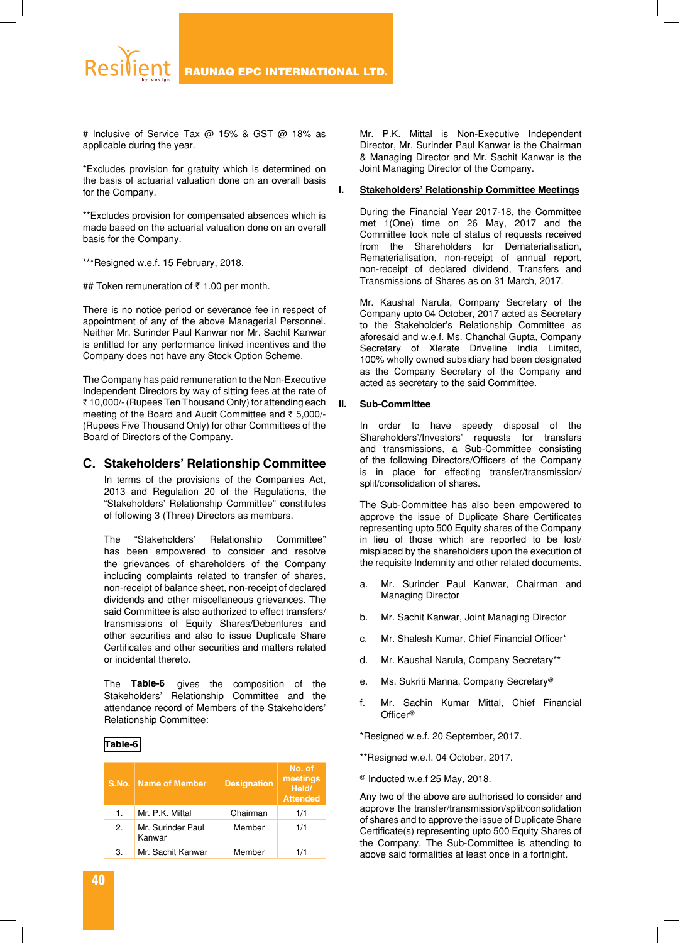# Inclusive of Service Tax @ 15% & GST @ 18% as applicable during the year.

\*Excludes provision for gratuity which is determined on the basis of actuarial valuation done on an overall basis for the Company.

\*\*Excludes provision for compensated absences which is made based on the actuarial valuation done on an overall basis for the Company.

\*\*\*Resigned w.e.f. 15 February, 2018.

## Token remuneration of  $\bar{\tau}$  1.00 per month.

There is no notice period or severance fee in respect of appointment of any of the above Managerial Personnel. Neither Mr. Surinder Paul Kanwar nor Mr. Sachit Kanwar is entitled for any performance linked incentives and the Company does not have any Stock Option Scheme.

The Company has paid remuneration to the Non-Executive Independent Directors by way of sitting fees at the rate of ₹ 10,000/- (Rupees Ten Thousand Only) for attending each meeting of the Board and Audit Committee and  $\bar{\tau}$  5,000/-(Rupees Five Thousand Only) for other Committees of the Board of Directors of the Company.

#### **C. Stakeholders' Relationship Committee**

In terms of the provisions of the Companies Act, 2013 and Regulation 20 of the Regulations, the "Stakeholders' Relationship Committee" constitutes of following 3 (Three) Directors as members.

The "Stakeholders' Relationship Committee" has been empowered to consider and resolve the grievances of shareholders of the Company including complaints related to transfer of shares, non-receipt of balance sheet, non-receipt of declared dividends and other miscellaneous grievances. The said Committee is also authorized to effect transfers/ transmissions of Equity Shares/Debentures and other securities and also to issue Duplicate Share Certificates and other securities and matters related or incidental thereto.

The **Table-6** gives the composition of the Stakeholders' Relationship Committee and the attendance record of Members of the Stakeholders' Relationship Committee:

#### **Table-6**

| S.No. | Name of Member              | <b>Designation</b> | No. of<br>meetings<br>Held/<br><b>Attended</b> |
|-------|-----------------------------|--------------------|------------------------------------------------|
| 1.    | Mr. P.K. Mittal             | Chairman           | 1/1                                            |
| 2     | Mr. Surinder Paul<br>Kanwar | Member             | 1/1                                            |
| 3.    | Mr. Sachit Kanwar           | Member             | 1/1                                            |

Mr. P.K. Mittal is Non-Executive Independent Director, Mr. Surinder Paul Kanwar is the Chairman & Managing Director and Mr. Sachit Kanwar is the Joint Managing Director of the Company.

#### **I. Stakeholders' Relationship Committee Meetings**

During the Financial Year 2017-18, the Committee met 1(One) time on 26 May, 2017 and the Committee took note of status of requests received from the Shareholders for Dematerialisation, Rematerialisation, non-receipt of annual report, non-receipt of declared dividend, Transfers and Transmissions of Shares as on 31 March, 2017.

Mr. Kaushal Narula, Company Secretary of the Company upto 04 October, 2017 acted as Secretary to the Stakeholder's Relationship Committee as aforesaid and w.e.f. Ms. Chanchal Gupta, Company Secretary of Xlerate Driveline India Limited, 100% wholly owned subsidiary had been designated as the Company Secretary of the Company and acted as secretary to the said Committee.

#### **II. Sub-Committee**

In order to have speedy disposal of the Shareholders'/Investors' requests for transfers and transmissions, a Sub-Committee consisting of the following Directors/Officers of the Company is in place for effecting transfer/transmission/ split/consolidation of shares.

The Sub-Committee has also been empowered to approve the issue of Duplicate Share Certificates representing upto 500 Equity shares of the Company in lieu of those which are reported to be lost/ misplaced by the shareholders upon the execution of the requisite Indemnity and other related documents.

- a. Mr. Surinder Paul Kanwar, Chairman and Managing Director
- b. Mr. Sachit Kanwar, Joint Managing Director
- c. Mr. Shalesh Kumar, Chief Financial Officer\*
- d. Mr. Kaushal Narula, Company Secretary\*\*
- e. Ms. Sukriti Manna, Company Secretary@
- f. Mr. Sachin Kumar Mittal, Chief Financial Officer<sup>@</sup>

\*Resigned w.e.f. 20 September, 2017.

\*\*Resigned w.e.f. 04 October, 2017.

@ Inducted w.e.f 25 May, 2018.

Any two of the above are authorised to consider and approve the transfer/transmission/split/consolidation of shares and to approve the issue of Duplicate Share Certificate(s) representing upto 500 Equity Shares of the Company. The Sub-Committee is attending to above said formalities at least once in a fortnight.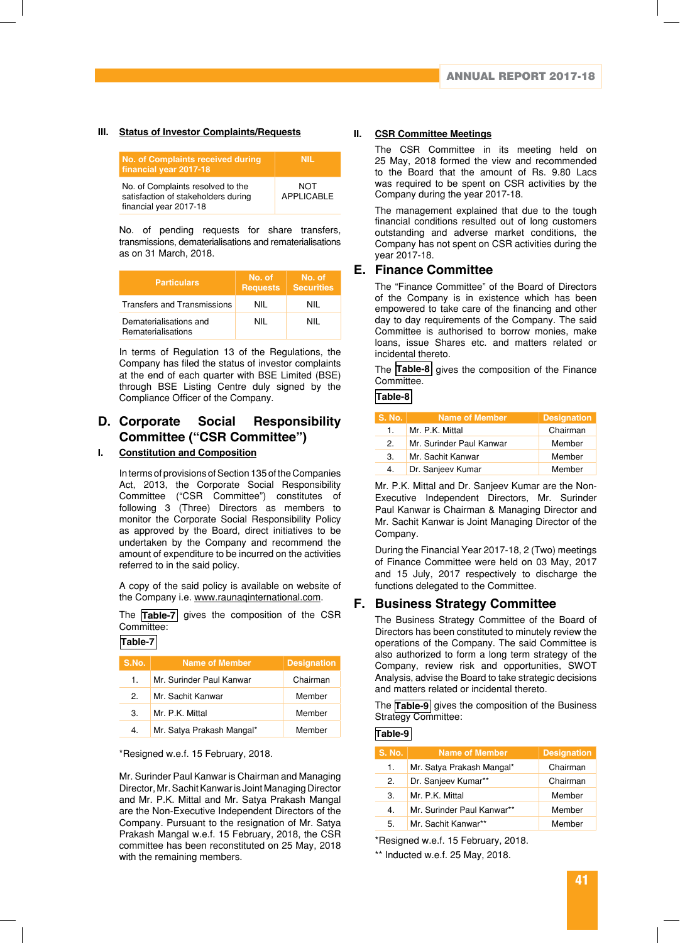#### **III. Status of Investor Complaints/Requests**

| No. of Complaints received during<br>financial year 2017-18                                        | <b>NIL</b>               |
|----------------------------------------------------------------------------------------------------|--------------------------|
| No. of Complaints resolved to the<br>satisfaction of stakeholders during<br>financial year 2017-18 | NOT<br><b>APPLICABLE</b> |

No. of pending requests for share transfers, transmissions, dematerialisations and rematerialisations as on 31 March, 2018.

| <b>Particulars</b>                           | No. of<br><b>Requests</b> | No. of<br><b>Securities</b> |
|----------------------------------------------|---------------------------|-----------------------------|
| Transfers and Transmissions                  | NII                       | NII                         |
| Dematerialisations and<br>Rematerialisations | NII                       | NII                         |

In terms of Regulation 13 of the Regulations, the Company has filed the status of investor complaints at the end of each quarter with BSE Limited (BSE) through BSE Listing Centre duly signed by the Compliance Officer of the Company.

### **D. Corporate Social Responsibility Committee ("CSR Committee")**

#### **I. Constitution and Composition**

In terms of provisions of Section 135 of the Companies Act, 2013, the Corporate Social Responsibility Committee ("CSR Committee") constitutes of following 3 (Three) Directors as members to monitor the Corporate Social Responsibility Policy as approved by the Board, direct initiatives to be undertaken by the Company and recommend the amount of expenditure to be incurred on the activities referred to in the said policy.

A copy of the said policy is available on website of the Company i.e. www.raunaqinternational.com.

The **Table-7** gives the composition of the CSR Committee:

#### **Table-7**

| S.No. | Name of Member            | <b>Designation</b> |
|-------|---------------------------|--------------------|
| 1.    | Mr. Surinder Paul Kanwar  | Chairman           |
| 2     | Mr. Sachit Kanwar         | Member             |
| 3     | Mr. P.K. Mittal           | Member             |
| 4.    | Mr. Satya Prakash Mangal* | Member             |

\*Resigned w.e.f. 15 February, 2018.

Mr. Surinder Paul Kanwar is Chairman and Managing Director, Mr. Sachit Kanwar is Joint Managing Director and Mr. P.K. Mittal and Mr. Satya Prakash Mangal are the Non-Executive Independent Directors of the Company. Pursuant to the resignation of Mr. Satya Prakash Mangal w.e.f. 15 February, 2018, the CSR committee has been reconstituted on 25 May, 2018 with the remaining members.

#### **II. CSR Committee Meetings**

The CSR Committee in its meeting held on 25 May, 2018 formed the view and recommended to the Board that the amount of Rs. 9.80 Lacs was required to be spent on CSR activities by the Company during the year 2017-18.

The management explained that due to the tough financial conditions resulted out of long customers outstanding and adverse market conditions, the Company has not spent on CSR activities during the year 2017-18.

### **E. Finance Committee**

The "Finance Committee" of the Board of Directors of the Company is in existence which has been empowered to take care of the financing and other day to day requirements of the Company. The said Committee is authorised to borrow monies, make loans, issue Shares etc. and matters related or incidental thereto.

The **Table-8** gives the composition of the Finance Committee.

#### **Table-8**

| <b>S. No.</b> | <b>Name of Member</b>    | <b>Designation</b> |
|---------------|--------------------------|--------------------|
| 1.            | Mr. P.K. Mittal          | Chairman           |
| 2             | Mr. Surinder Paul Kanwar | Member             |
| 3             | Mr. Sachit Kanwar        | Member             |
| 4.            | Dr. Sanjeev Kumar        | Member             |

Mr. P.K. Mittal and Dr. Sanjeev Kumar are the Non-Executive Independent Directors, Mr. Surinder Paul Kanwar is Chairman & Managing Director and Mr. Sachit Kanwar is Joint Managing Director of the Company.

During the Financial Year 2017-18, 2 (Two) meetings of Finance Committee were held on 03 May, 2017 and 15 July, 2017 respectively to discharge the functions delegated to the Committee.

#### **F. Business Strategy Committee**

The Business Strategy Committee of the Board of Directors has been constituted to minutely review the operations of the Company. The said Committee is also authorized to form a long term strategy of the Company, review risk and opportunities, SWOT Analysis, advise the Board to take strategic decisions and matters related or incidental thereto.

The **Table-9** gives the composition of the Business Strategy Committee:

#### **Table-9**

| <b>S. No.</b> | <b>Name of Member</b>      | <b>Designation</b> |
|---------------|----------------------------|--------------------|
| 1.            | Mr. Satya Prakash Mangal*  | Chairman           |
| 2.            | Dr. Sanjeev Kumar**        | Chairman           |
| 3.            | Mr. P.K. Mittal            | Member             |
| 4             | Mr. Surinder Paul Kanwar** | Member             |
| 5.            | Mr. Sachit Kanwar**        | Member             |

\*Resigned w.e.f. 15 February, 2018.

\*\* Inducted w.e.f. 25 May, 2018.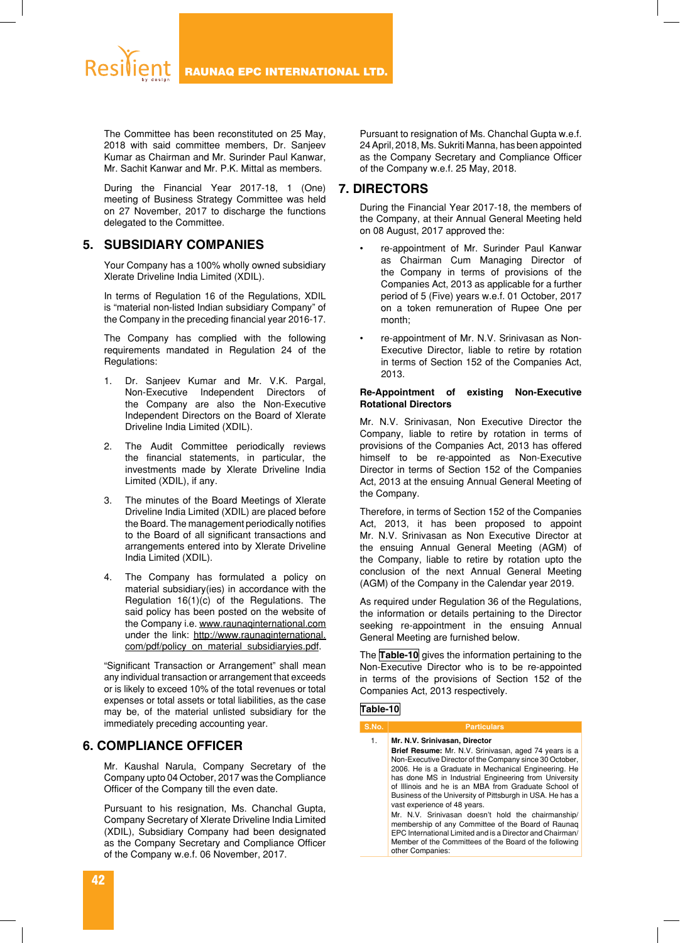Resilient Raunaq epc international Ltd.

The Committee has been reconstituted on 25 May, 2018 with said committee members, Dr. Sanjeev Kumar as Chairman and Mr. Surinder Paul Kanwar, Mr. Sachit Kanwar and Mr. P.K. Mittal as members.

During the Financial Year 2017-18, 1 (One) meeting of Business Strategy Committee was held on 27 November, 2017 to discharge the functions delegated to the Committee.

### **5. SUBSIDIARY COMPANIES**

Your Company has a 100% wholly owned subsidiary Xlerate Driveline India Limited (XDIL).

In terms of Regulation 16 of the Regulations, XDIL is "material non-listed Indian subsidiary Company" of the Company in the preceding financial year 2016-17.

The Company has complied with the following requirements mandated in Regulation 24 of the Regulations:

- 1. Dr. Sanjeev Kumar and Mr. V.K. Pargal, Non-Executive Independent Directors of the Company are also the Non-Executive Independent Directors on the Board of Xlerate Driveline India Limited (XDIL).
- 2. The Audit Committee periodically reviews the financial statements, in particular, the investments made by Xlerate Driveline India Limited (XDIL), if any.
- 3. The minutes of the Board Meetings of Xlerate Driveline India Limited (XDIL) are placed before the Board. The management periodically notifies to the Board of all significant transactions and arrangements entered into by Xlerate Driveline India Limited (XDIL).
- 4. The Company has formulated a policy on material subsidiary(ies) in accordance with the Regulation 16(1)(c) of the Regulations. The said policy has been posted on the website of the Company i.e. www.raunaqinternational.com under the link: http://www.raunaqinternational. com/pdf/policy\_on\_material\_subsidiaryies.pdf.

"Significant Transaction or Arrangement" shall mean any individual transaction or arrangement that exceeds or is likely to exceed 10% of the total revenues or total expenses or total assets or total liabilities, as the case may be, of the material unlisted subsidiary for the immediately preceding accounting year.

### **6. COMPLIANCE OFFICER**

Mr. Kaushal Narula, Company Secretary of the Company upto 04 October, 2017 was the Compliance Officer of the Company till the even date.

Pursuant to his resignation, Ms. Chanchal Gupta, Company Secretary of Xlerate Driveline India Limited (XDIL), Subsidiary Company had been designated as the Company Secretary and Compliance Officer of the Company w.e.f. 06 November, 2017.

Pursuant to resignation of Ms. Chanchal Gupta w.e.f. 24 April, 2018, Ms. Sukriti Manna, has been appointed as the Company Secretary and Compliance Officer of the Company w.e.f. 25 May, 2018.

### **7. DIRECTORS**

During the Financial Year 2017-18, the members of the Company, at their Annual General Meeting held on 08 August, 2017 approved the:

- re-appointment of Mr. Surinder Paul Kanwar as Chairman Cum Managing Director of the Company in terms of provisions of the Companies Act, 2013 as applicable for a further period of 5 (Five) years w.e.f. 01 October, 2017 on a token remuneration of Rupee One per month;
- re-appointment of Mr. N.V. Srinivasan as Non-Executive Director, liable to retire by rotation in terms of Section 152 of the Companies Act, 2013.

#### **Re-Appointment of existing Non-Executive Rotational Directors**

 Mr. N.V. Srinivasan, Non Executive Director the Company, liable to retire by rotation in terms of provisions of the Companies Act, 2013 has offered himself to be re-appointed as Non-Executive Director in terms of Section 152 of the Companies Act, 2013 at the ensuing Annual General Meeting of the Company.

Therefore, in terms of Section 152 of the Companies Act, 2013, it has been proposed to appoint Mr. N.V. Srinivasan as Non Executive Director at the ensuing Annual General Meeting (AGM) of the Company, liable to retire by rotation upto the conclusion of the next Annual General Meeting (AGM) of the Company in the Calendar year 2019.

As required under Regulation 36 of the Regulations, the information or details pertaining to the Director seeking re-appointment in the ensuing Annual General Meeting are furnished below.

The **Table-10** gives the information pertaining to the Non-Executive Director who is to be re-appointed in terms of the provisions of Section 152 of the Companies Act, 2013 respectively.

#### **Table-10**

| S.No. | <b>Particulars</b>                                                                                                                                                                                                                                                                                                                                                                            |
|-------|-----------------------------------------------------------------------------------------------------------------------------------------------------------------------------------------------------------------------------------------------------------------------------------------------------------------------------------------------------------------------------------------------|
| 1.    | Mr. N.V. Srinivasan, Director                                                                                                                                                                                                                                                                                                                                                                 |
|       | <b>Brief Resume:</b> Mr. N.V. Srinivasan, aged 74 years is a<br>Non-Executive Director of the Company since 30 October,<br>2006. He is a Graduate in Mechanical Engineering. He<br>has done MS in Industrial Engineering from University<br>of Illinois and he is an MBA from Graduate School of<br>Business of the University of Pittsburgh in USA. He has a<br>vast experience of 48 years. |
|       | Mr. N.V. Srinivasan doesn't hold the chairmanship/<br>membership of any Committee of the Board of Raunag<br>EPC International Limited and is a Director and Chairman/<br>Member of the Committees of the Board of the following<br>other Companies:                                                                                                                                           |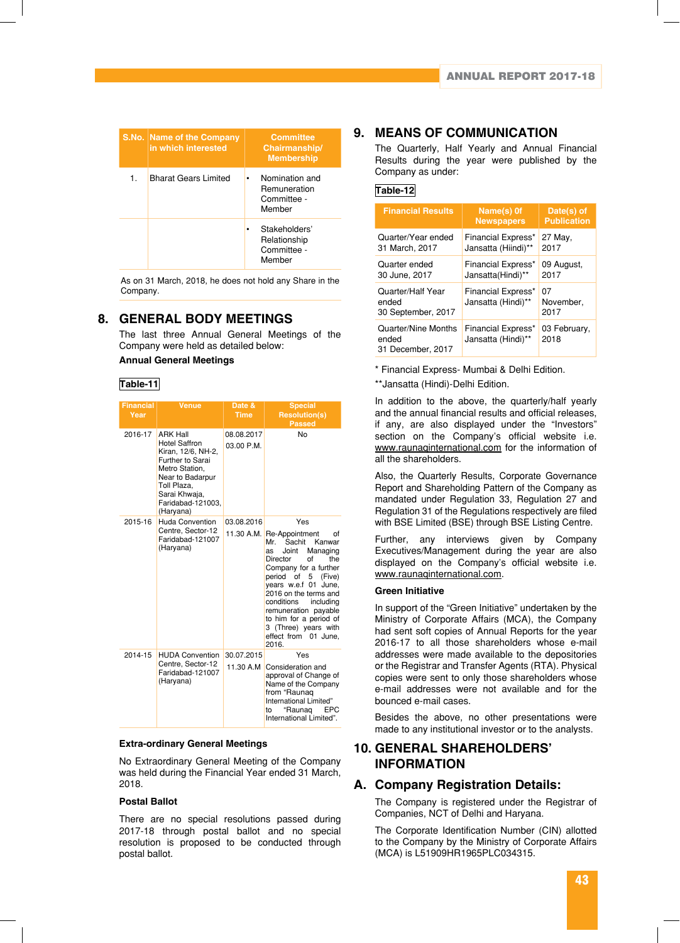|    | S.No. Name of the Company<br>in which interested | <b>Committee</b><br>Chairmanship/<br><b>Membership</b>  |
|----|--------------------------------------------------|---------------------------------------------------------|
| 1. | <b>Bharat Gears Limited</b>                      | Nomination and<br>Remuneration<br>Committee -<br>Member |
|    |                                                  | Stakeholders'<br>Relationship<br>Committee -<br>Member  |

As on 31 March, 2018, he does not hold any Share in the **Company** 

### **8. GENERAL BODY MEETINGS**

The last three Annual General Meetings of the Company were held as detailed below:

#### **Annual General Meetings**

#### **Table-11**

| <b>Financial</b><br>Year | Venue                                                                                                                                                                                     | Date &<br><b>Time</b>    | <b>Special</b><br><b>Resolution(s)</b><br><b>Passed</b>                                                                                                                                                                                                                                                                                                   |
|--------------------------|-------------------------------------------------------------------------------------------------------------------------------------------------------------------------------------------|--------------------------|-----------------------------------------------------------------------------------------------------------------------------------------------------------------------------------------------------------------------------------------------------------------------------------------------------------------------------------------------------------|
| 2016-17                  | <b>ARK Hall</b><br><b>Hotel Saffron</b><br>Kiran, 12/6, NH-2,<br>Further to Sarai<br>Metro Station,<br>Near to Badarpur<br>Toll Plaza.<br>Sarai Khwaja,<br>Faridabad-121003.<br>(Haryana) | 08.08.2017<br>03.00 P.M. | No                                                                                                                                                                                                                                                                                                                                                        |
| 2015-16                  | <b>Huda Convention</b><br>Centre, Sector-12<br>Faridabad-121007<br>(Haryana)                                                                                                              | 03.08.2016<br>11.30 A.M. | Yes<br>Re-Appointment<br>of<br>Sachit<br>Mr.<br>Kanwar<br>Joint<br>Managing<br>as<br>of<br>Director<br>the<br>Company for a further<br>period of<br>5<br>(Five)<br>years w.e.f 01<br>June.<br>2016 on the terms and<br>conditions<br>including<br>remuneration payable<br>to him for a period of<br>3 (Three) years with<br>effect from 01 June.<br>2016. |
| 2014-15                  | <b>HUDA Convention</b><br>Centre, Sector-12<br>Faridabad-121007<br>(Haryana)                                                                                                              | 30.07.2015<br>11.30 A.M  | Yes<br>Consideration and<br>approval of Change of<br>Name of the Company<br>from "Raunag<br>International Limited"<br>EPC<br>"Raunag<br>to<br>International Limited".                                                                                                                                                                                     |

#### **Extra-ordinary General Meetings**

No Extraordinary General Meeting of the Company was held during the Financial Year ended 31 March, 2018.

#### **Postal Ballot**

There are no special resolutions passed during 2017-18 through postal ballot and no special resolution is proposed to be conducted through postal ballot.

### **9. MEANS OF COMMUNICATION**

The Quarterly, Half Yearly and Annual Financial Results during the year were published by the Company as under:

### **Table-12**

| <b>Financial Results</b>                          | Name(s) Of<br><b>Newspapers</b>           | Date(s) of<br><b>Publication</b> |
|---------------------------------------------------|-------------------------------------------|----------------------------------|
| Quarter/Year ended<br>31 March, 2017              | Financial Express*<br>Jansatta (Hiindi)** | 27 May,<br>2017                  |
| Quarter ended<br>30 June, 2017                    | Financial Express*<br>Jansatta(Hindi)**   | 09 August,<br>2017               |
| Quarter/Half Year<br>ended<br>30 September, 2017  | Financial Express*<br>Jansatta (Hindi)**  | 07<br>November.<br>2017          |
| Quarter/Nine Months<br>ended<br>31 December, 2017 | Financial Express*<br>Jansatta (Hindi)**  | 03 February,<br>2018             |

\* Financial Express- Mumbai & Delhi Edition.

\*\*Jansatta (Hindi)-Delhi Edition.

In addition to the above, the quarterly/half yearly and the annual financial results and official releases, if any, are also displayed under the "Investors" section on the Company's official website i.e. www.raunaqinternational.com for the information of all the shareholders.

Also, the Quarterly Results, Corporate Governance Report and Shareholding Pattern of the Company as mandated under Regulation 33, Regulation 27 and Regulation 31 of the Regulations respectively are filed with BSE Limited (BSE) through BSE Listing Centre.

Further, any interviews given by Company Executives/Management during the year are also displayed on the Company's official website i.e. www.raunaqinternational.com.

#### **Green Initiative**

In support of the "Green Initiative" undertaken by the Ministry of Corporate Affairs (MCA), the Company had sent soft copies of Annual Reports for the year 2016-17 to all those shareholders whose e-mail addresses were made available to the depositories or the Registrar and Transfer Agents (RTA). Physical copies were sent to only those shareholders whose e-mail addresses were not available and for the bounced e-mail cases.

Besides the above, no other presentations were made to any institutional investor or to the analysts.

### **10. GENERAL SHAREHOLDERS' INFORMATION**

### **A. Company Registration Details:**

The Company is registered under the Registrar of Companies, NCT of Delhi and Haryana.

The Corporate Identification Number (CIN) allotted to the Company by the Ministry of Corporate Affairs (MCA) is L51909HR1965PLC034315.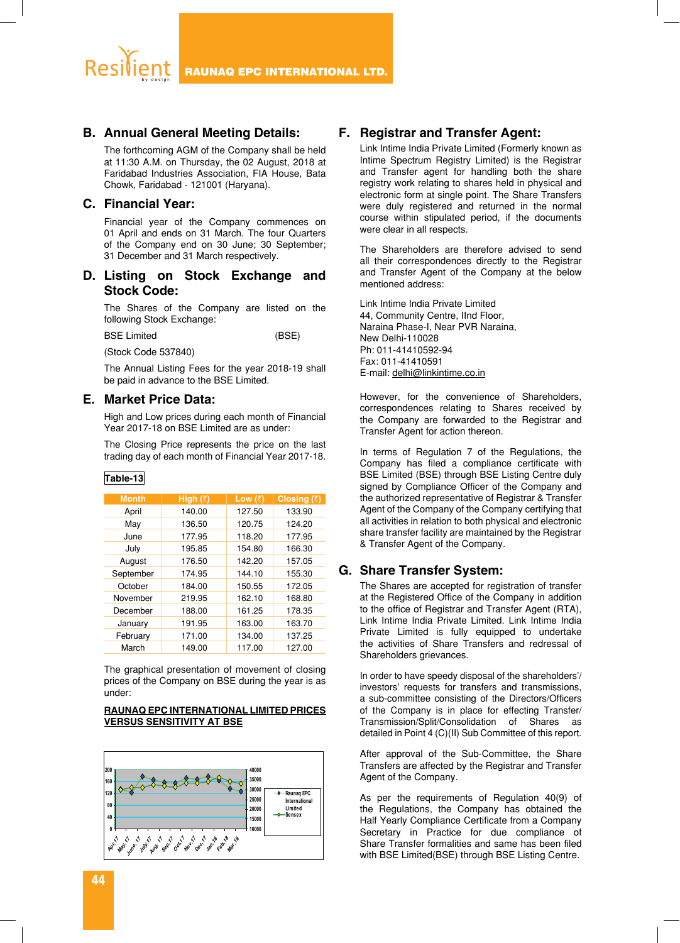Raunaq epc international Ltd.

### **B. Annual General Meeting Details:**

The forthcoming AGM of the Company shall be held at 11:30 A.M. on Thursday, the 02 August, 2018 at Faridabad Industries Association, FIA House, Bata Chowk, Faridabad - 121001 (Haryana).

#### **C. Financial Year:**

Resilient

Financial year of the Company commences on 01 April and ends on 31 March. The four Quarters of the Company end on 30 June; 30 September; 31 December and 31 March respectively.

### **D. Listing on Stock Exchange and Stock Code:**

The Shares of the Company are listed on the following Stock Exchange:

BSE Limited (BSE)

(Stock Code 537840)

The Annual Listing Fees for the year 2018-19 shall be paid in advance to the BSE Limited.

### **E. Market Price Data:**

High and Low prices during each month of Financial **40000** Year 2017-18 on BSE Limited are as under:

The Closing Price represents the price on the last **30000** trading day of each month of Financial Year 2017-18. **25000**

#### **Table-13**

| <b>Month</b> | High (₹) | Low $(\bar{z})$ | Closing $(\bar{z})$ |
|--------------|----------|-----------------|---------------------|
| April        | 140.00   | 127.50          | 133.90              |
| May          | 136.50   | 120.75          | 124.20              |
| June         | 177.95   | 118.20          | 177.95              |
| July         | 195.85   | 154.80          | 166.30              |
| August       | 176.50   | 142.20          | 157.05              |
| September    | 174.95   | 144.10          | 155.30              |
| October      | 184.00   | 150.55          | 172.05              |
| November     | 219.95   | 162.10          | 168.80              |
| December     | 188.00   | 161.25          | 178.35              |
| January      | 191.95   | 163.00          | 163.70              |
| February     | 171.00   | 134.00          | 137.25              |
| March        | 149.00   | 117.00          | 127.00              |

The graphical presentation of movement of closing prices of the Company on BSE during the year is as under:

#### **RAUNAQ EPC INTERNATIONAL LIMITED PRICES VERSUS SENSITIVITY AT BSE**



### **F. Registrar and Transfer Agent:**

Link Intime India Private Limited (Formerly known as Intime Spectrum Registry Limited) is the Registrar and Transfer agent for handling both the share registry work relating to shares held in physical and electronic form at single point. The Share Transfers were duly registered and returned in the normal course within stipulated period, if the documents were clear in all respects.

The Shareholders are therefore advised to send all their correspondences directly to the Registrar and Transfer Agent of the Company at the below mentioned address:

Link Intime India Private Limited 44, Community Centre, IInd Floor, Naraina Phase-I, Near PVR Naraina, New Delhi-110028 Ph: 011-41410592-94 Fax: 011-41410591 E-mail: delhi@linkintime.co.in

However, for the convenience of Shareholders, correspondences relating to Shares received by the Company are forwarded to the Registrar and Transfer Agent for action thereon.

In terms of Regulation 7 of the Regulations, the Company has filed a compliance certificate with BSE Limited (BSE) through BSE Listing Centre duly signed by Compliance Officer of the Company and the authorized representative of Registrar & Transfer Agent of the Company of the Company certifying that all activities in relation to both physical and electronic share transfer facility are maintained by the Registrar & Transfer Agent of the Company.

### **G. Share Transfer System:**

The Shares are accepted for registration of transfer at the Registered Office of the Company in addition to the office of Registrar and Transfer Agent (RTA), Link Intime India Private Limited. Link Intime India Private Limited is fully equipped to undertake the activities of Share Transfers and redressal of Shareholders grievances.

In order to have speedy disposal of the shareholders'/ investors' requests for transfers and transmissions, a sub-committee consisting of the Directors/Officers of the Company is in place for effecting Transfer/ Transmission/Split/Consolidation of Shares as detailed in Point 4 (C)(II) Sub Committee of this report.

After approval of the Sub-Committee, the Share Transfers are affected by the Registrar and Transfer Agent of the Company.

As per the requirements of Regulation 40(9) of the Regulations, the Company has obtained the Half Yearly Compliance Certificate from a Company Secretary in Practice for due compliance of Share Transfer formalities and same has been filed with BSE Limited(BSE) through BSE Listing Centre.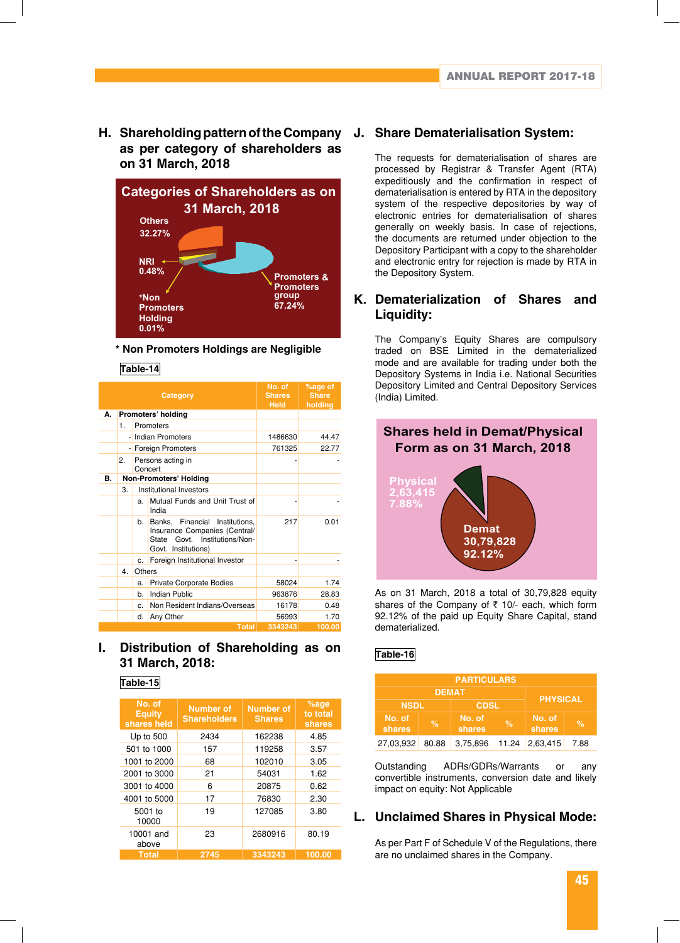H. Shareholding pattern of the Company J. Share Dematerialisation System: **as per category of shareholders as on 31 March, 2018**



**\* Non Promoters Holdings are Negligible**

**Table-14**

| Category |                  |        |                                                                                                                               | No. of<br><b>Shares</b><br><b>Held</b> | <u>%age of</u><br><b>Share</b><br>holding |
|----------|------------------|--------|-------------------------------------------------------------------------------------------------------------------------------|----------------------------------------|-------------------------------------------|
| А.       |                  |        | Promoters' holding                                                                                                            |                                        |                                           |
|          | 1.               |        | Promoters                                                                                                                     |                                        |                                           |
|          |                  |        | - Indian Promoters                                                                                                            | 1486630                                | 44.47                                     |
|          |                  |        | - Foreign Promoters                                                                                                           | 761325                                 | 22.77                                     |
|          | 2.               |        | Persons acting in<br>Concert                                                                                                  |                                        |                                           |
| В.       |                  |        | Non-Promoters' Holding                                                                                                        |                                        |                                           |
|          | 3.               |        | Institutional Investors                                                                                                       |                                        |                                           |
|          |                  | a.     | Mutual Funds and Unit Trust of<br>India                                                                                       |                                        |                                           |
|          |                  | b.     | Banks, Financial Institutions,<br>Insurance Companies (Central/<br>Institutions/Non-<br>State<br>Govt.<br>Govt. Institutions) | 217                                    | 0.01                                      |
|          |                  | c.     | Foreign Institutional Investor                                                                                                |                                        |                                           |
|          | $\overline{4}$ . | Others |                                                                                                                               |                                        |                                           |
|          |                  | a.     | Private Corporate Bodies                                                                                                      | 58024                                  | 1.74                                      |
|          |                  | b.     | Indian Public                                                                                                                 | 963876                                 | 28.83                                     |
|          |                  | C.     | Non Resident Indians/Overseas                                                                                                 | 16178                                  | 0.48                                      |
|          |                  | d.     | Any Other                                                                                                                     | 56993                                  | 1.70                                      |
|          |                  |        | <b>Total</b>                                                                                                                  | 3343243                                | 100.00                                    |

### **I. Distribution of Shareholding as on 31 March, 2018:**

#### **Table-15**

| No. of<br><b>Equity</b><br>shares held | <b>Number of</b><br><b>Shareholders</b> | <b>Number of</b><br><b>Shares</b> | $%$ age<br>to total<br>shares |
|----------------------------------------|-----------------------------------------|-----------------------------------|-------------------------------|
| Up to 500                              | 2434                                    | 162238                            | 4.85                          |
| 501 to 1000                            | 157                                     | 119258                            | 3.57                          |
| 1001 to 2000                           | 68                                      | 102010                            | 3.05                          |
| 2001 to 3000                           | 21                                      | 54031                             | 1.62                          |
| 3001 to 4000                           | 6                                       | 20875                             | 0.62                          |
| 4001 to 5000                           | 17                                      | 76830                             | 2.30                          |
| 5001 to<br>10000                       | 19                                      | 127085                            | 3.80                          |
| 10001 and<br>above                     | 23                                      | 2680916                           | 80.19                         |
| <b>Total</b>                           | 2745                                    | 3343243                           | 100.00                        |

The requests for dematerialisation of shares are processed by Registrar & Transfer Agent (RTA) expeditiously and the confirmation in respect of dematerialisation is entered by RTA in the depository system of the respective depositories by way of electronic entries for dematerialisation of shares generally on weekly basis. In case of rejections, the documents are returned under objection to the Depository Participant with a copy to the shareholder and electronic entry for rejection is made by RTA in the Depository System.

### **K. Dematerialization of Shares and Liquidity:**

The Company's Equity Shares are compulsory traded on BSE Limited in the dematerialized mode and are available for trading under both the Depository Systems in India i.e. National Securities Depository Limited and Central Depository Services (India) Limited.



As on 31 March, 2018 a total of 30,79,828 equity shares of the Company of  $\bar{\tau}$  10/- each, which form 92.12% of the paid up Equity Share Capital, stand dematerialized.

### **Table-16**

| <b>PARTICULARS</b>         |      |                         |      |                  |      |  |
|----------------------------|------|-------------------------|------|------------------|------|--|
| <b>DEMAT</b>               |      |                         |      |                  |      |  |
| <b>CDSL</b><br><b>NSDL</b> |      |                         |      | <b>PHYSICAL</b>  |      |  |
| No. of<br>shares           | $\%$ | No. of<br>shares        | $\%$ | No. of<br>shares | $\%$ |  |
| 27,03,932 80.88            |      | 3,75,896 11.24 2,63,415 |      |                  | 7.88 |  |

Outstanding ADRs/GDRs/Warrants or any convertible instruments, conversion date and likely impact on equity: Not Applicable

### **L. Unclaimed Shares in Physical Mode:**

 As per Part F of Schedule V of the Regulations, there are no unclaimed shares in the Company.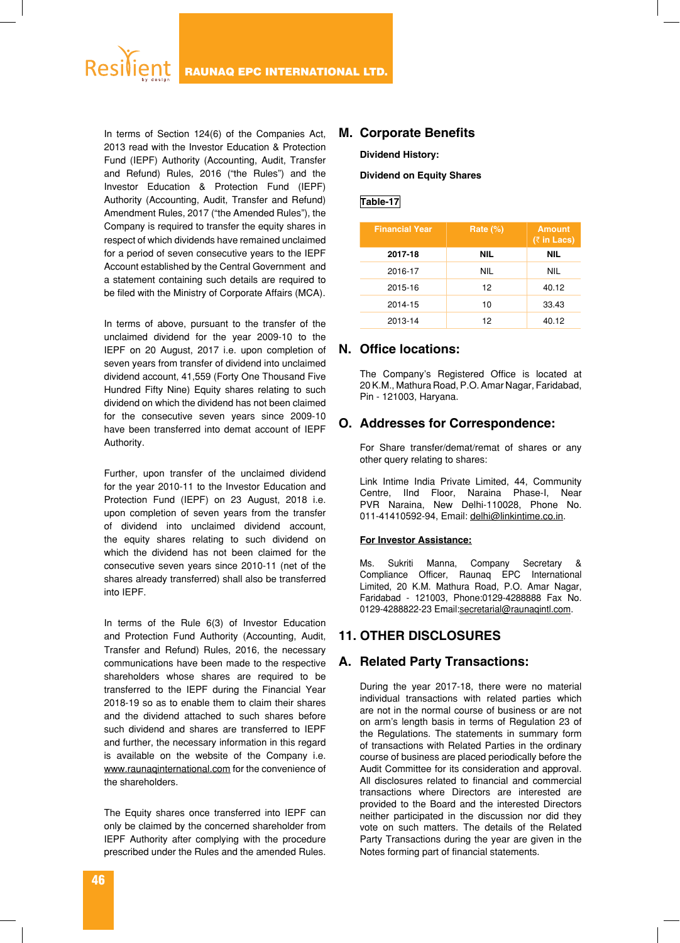In terms of Section 124(6) of the Companies Act, 2013 read with the Investor Education & Protection Fund (IEPF) Authority (Accounting, Audit, Transfer and Refund) Rules, 2016 ("the Rules") and the Investor Education & Protection Fund (IEPF) Authority (Accounting, Audit, Transfer and Refund) Amendment Rules, 2017 ("the Amended Rules"), the Company is required to transfer the equity shares in respect of which dividends have remained unclaimed for a period of seven consecutive years to the IEPF Account established by the Central Government and a statement containing such details are required to be filed with the Ministry of Corporate Affairs (MCA).

In terms of above, pursuant to the transfer of the unclaimed dividend for the year 2009-10 to the IEPF on 20 August, 2017 i.e. upon completion of seven years from transfer of dividend into unclaimed dividend account, 41,559 (Forty One Thousand Five Hundred Fifty Nine) Equity shares relating to such dividend on which the dividend has not been claimed for the consecutive seven years since 2009-10 have been transferred into demat account of IEPF Authority.

Further, upon transfer of the unclaimed dividend for the year 2010-11 to the Investor Education and Protection Fund (IEPF) on 23 August, 2018 i.e. upon completion of seven years from the transfer of dividend into unclaimed dividend account, the equity shares relating to such dividend on which the dividend has not been claimed for the consecutive seven years since 2010-11 (net of the shares already transferred) shall also be transferred into IEPF.

In terms of the Rule 6(3) of Investor Education and Protection Fund Authority (Accounting, Audit, Transfer and Refund) Rules, 2016, the necessary communications have been made to the respective shareholders whose shares are required to be transferred to the IEPF during the Financial Year 2018-19 so as to enable them to claim their shares and the dividend attached to such shares before such dividend and shares are transferred to IEPF and further, the necessary information in this regard is available on the website of the Company i.e. www.raunaqinternational.com for the convenience of the shareholders.

The Equity shares once transferred into IEPF can only be claimed by the concerned shareholder from IEPF Authority after complying with the procedure prescribed under the Rules and the amended Rules.

## **M. Corporate Benefits**

**Dividend History:**

**Dividend on Equity Shares**

#### **Table-17**

| <b>Financial Year</b> | Rate $(\%)$ | <b>Amount</b><br>$(3 \nvert \cdot \nvert$ Lacs) |
|-----------------------|-------------|-------------------------------------------------|
| 2017-18               | <b>NIL</b>  | <b>NIL</b>                                      |
| 2016-17               | <b>NIL</b>  | NIL.                                            |
| 2015-16               | 12          | 40.12                                           |
| 2014-15               | 10          | 33.43                                           |
| 2013-14               | 12          | 40.12                                           |

### **N. Office locations:**

The Company's Registered Office is located at 20 K.M., Mathura Road, P.O. Amar Nagar, Faridabad, Pin - 121003, Haryana.

### **O. Addresses for Correspondence:**

For Share transfer/demat/remat of shares or any other query relating to shares:

Link Intime India Private Limited, 44, Community Centre, IInd Floor, Naraina Phase-I, Near PVR Naraina, New Delhi-110028, Phone No. 011-41410592-94, Email: delhi@linkintime.co.in.

#### **For Investor Assistance:**

Ms. Sukriti Manna, Company Secretary & Compliance Officer, Raunaq EPC International Limited, 20 K.M. Mathura Road, P.O. Amar Nagar, Faridabad - 121003, Phone:0129-4288888 Fax No. 0129-4288822-23 Email:secretarial@raunaqintl.com.

### **11. OTHER DISCLOSURES**

### **A. Related Party Transactions:**

During the year 2017-18, there were no material individual transactions with related parties which are not in the normal course of business or are not on arm's length basis in terms of Regulation 23 of the Regulations. The statements in summary form of transactions with Related Parties in the ordinary course of business are placed periodically before the Audit Committee for its consideration and approval. All disclosures related to financial and commercial transactions where Directors are interested are provided to the Board and the interested Directors neither participated in the discussion nor did they vote on such matters. The details of the Related Party Transactions during the year are given in the Notes forming part of financial statements.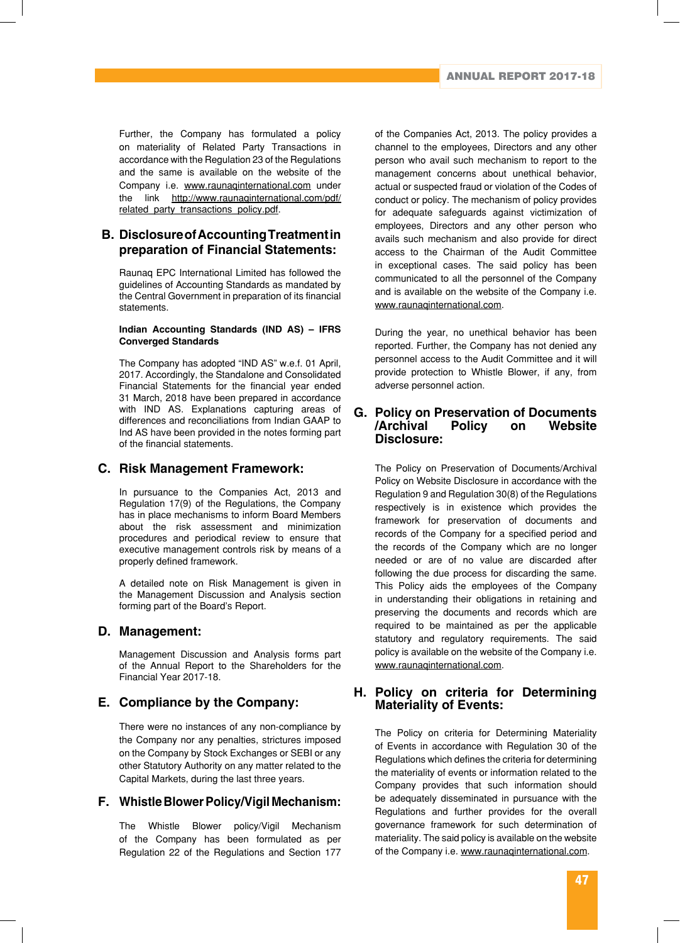Further, the Company has formulated a policy on materiality of Related Party Transactions in accordance with the Regulation 23 of the Regulations and the same is available on the website of the Company i.e. www.raunaqinternational.com under the link http://www.raunaqinternational.com/pdf/ related\_party\_transactions\_policy.pdf.

### **B. Disclosure of Accounting Treatment in preparation of Financial Statements:**

Raunaq EPC International Limited has followed the guidelines of Accounting Standards as mandated by the Central Government in preparation of its financial statements.

#### **Indian Accounting Standards (IND AS) – IFRS Converged Standards**

The Company has adopted "IND AS" w.e.f. 01 April, 2017. Accordingly, the Standalone and Consolidated Financial Statements for the financial year ended 31 March, 2018 have been prepared in accordance with IND AS. Explanations capturing areas of differences and reconciliations from Indian GAAP to Ind AS have been provided in the notes forming part of the financial statements.

### **C. Risk Management Framework:**

In pursuance to the Companies Act, 2013 and Regulation 17(9) of the Regulations, the Company has in place mechanisms to inform Board Members about the risk assessment and minimization procedures and periodical review to ensure that executive management controls risk by means of a properly defined framework.

A detailed note on Risk Management is given in the Management Discussion and Analysis section forming part of the Board's Report.

#### **D. Management:**

Management Discussion and Analysis forms part of the Annual Report to the Shareholders for the Financial Year 2017-18.

#### **E. Compliance by the Company:**

There were no instances of any non-compliance by the Company nor any penalties, strictures imposed on the Company by Stock Exchanges or SEBI or any other Statutory Authority on any matter related to the Capital Markets, during the last three years.

### **F. Whistle Blower Policy/Vigil Mechanism:**

 The Whistle Blower policy/Vigil Mechanism of the Company has been formulated as per Regulation 22 of the Regulations and Section 177 of the Companies Act, 2013. The policy provides a channel to the employees, Directors and any other person who avail such mechanism to report to the management concerns about unethical behavior, actual or suspected fraud or violation of the Codes of conduct or policy. The mechanism of policy provides for adequate safeguards against victimization of employees, Directors and any other person who avails such mechanism and also provide for direct access to the Chairman of the Audit Committee in exceptional cases. The said policy has been communicated to all the personnel of the Company and is available on the website of the Company i.e. www.raunaqinternational.com.

During the year, no unethical behavior has been reported. Further, the Company has not denied any personnel access to the Audit Committee and it will provide protection to Whistle Blower, if any, from adverse personnel action.

#### **G. Policy on Preservation of Documents /Archival Disclosure:**

The Policy on Preservation of Documents/Archival Policy on Website Disclosure in accordance with the Regulation 9 and Regulation 30(8) of the Regulations respectively is in existence which provides the framework for preservation of documents and records of the Company for a specified period and the records of the Company which are no longer needed or are of no value are discarded after following the due process for discarding the same. This Policy aids the employees of the Company in understanding their obligations in retaining and preserving the documents and records which are required to be maintained as per the applicable statutory and regulatory requirements. The said policy is available on the website of the Company i.e. www.raunaqinternational.com.

#### **H. Policy on criteria for Determining Materiality of Events:**

The Policy on criteria for Determining Materiality of Events in accordance with Regulation 30 of the Regulations which defines the criteria for determining the materiality of events or information related to the Company provides that such information should be adequately disseminated in pursuance with the Regulations and further provides for the overall governance framework for such determination of materiality. The said policy is available on the website of the Company i.e. www.raunaqinternational.com.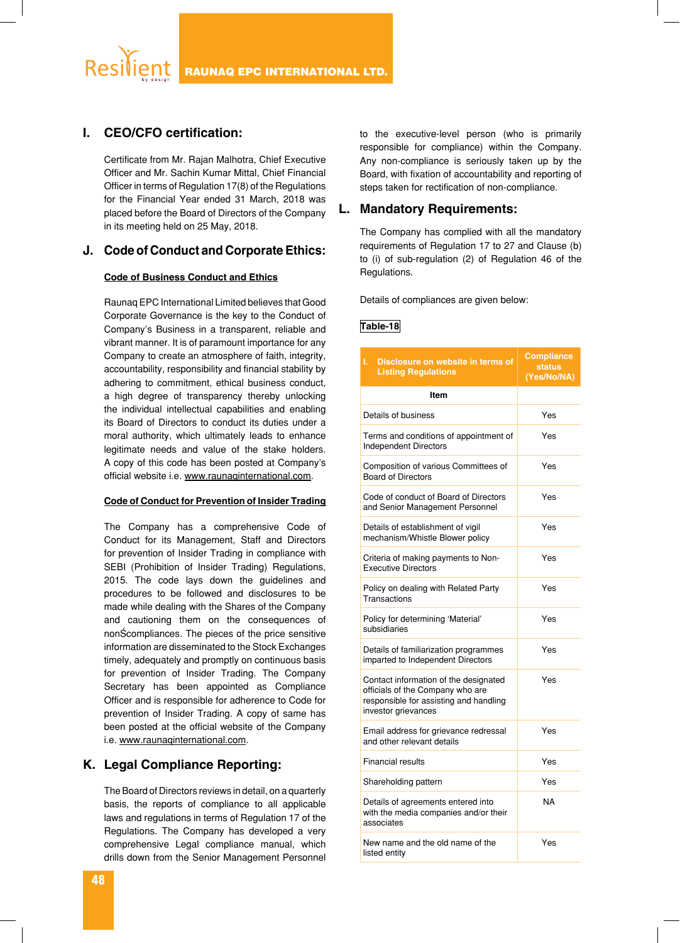### **I. CEO/CFO certification:**

Certificate from Mr. Rajan Malhotra, Chief Executive Officer and Mr. Sachin Kumar Mittal, Chief Financial Officer in terms of Regulation 17(8) of the Regulations for the Financial Year ended 31 March, 2018 was placed before the Board of Directors of the Company in its meeting held on 25 May, 2018.

### **J. Code of Conduct and Corporate Ethics:**

#### **Code of Business Conduct and Ethics**

Raunaq EPC International Limited believes that Good Corporate Governance is the key to the Conduct of Company's Business in a transparent, reliable and vibrant manner. It is of paramount importance for any Company to create an atmosphere of faith, integrity, accountability, responsibility and financial stability by adhering to commitment, ethical business conduct, a high degree of transparency thereby unlocking the individual intellectual capabilities and enabling its Board of Directors to conduct its duties under a moral authority, which ultimately leads to enhance legitimate needs and value of the stake holders. A copy of this code has been posted at Company's official website i.e. www.raunaqinternational.com.

#### **Code of Conduct for Prevention of Insider Trading**

The Company has a comprehensive Code of Conduct for its Management, Staff and Directors for prevention of Insider Trading in compliance with SEBI (Prohibition of Insider Trading) Regulations, 2015. The code lays down the guidelines and procedures to be followed and disclosures to be made while dealing with the Shares of the Company and cautioning them on the consequences of nonScompliances. The pieces of the price sensitive information are disseminated to the Stock Exchanges timely, adequately and promptly on continuous basis for prevention of Insider Trading. The Company Secretary has been appointed as Compliance Officer and is responsible for adherence to Code for prevention of Insider Trading. A copy of same has been posted at the official website of the Company i.e. www.raunaqinternational.com.

### **K. Legal Compliance Reporting:**

The Board of Directors reviews in detail, on a quarterly basis, the reports of compliance to all applicable laws and regulations in terms of Regulation 17 of the Regulations. The Company has developed a very comprehensive Legal compliance manual, which drills down from the Senior Management Personnel to the executive-level person (who is primarily responsible for compliance) within the Company. Any non-compliance is seriously taken up by the Board, with fixation of accountability and reporting of steps taken for rectification of non-compliance.

### **L. Mandatory Requirements:**

The Company has complied with all the mandatory requirements of Regulation 17 to 27 and Clause (b) to (i) of sub-regulation (2) of Regulation 46 of the Regulations.

 Details of compliances are given below:

### **Table-18**

| Disclosure on website in terms of<br>I.<br><b>Listing Regulations</b>                                                                      | <b>Compliance</b><br><b>status</b><br>(Yes/No/NA) |
|--------------------------------------------------------------------------------------------------------------------------------------------|---------------------------------------------------|
| Item                                                                                                                                       |                                                   |
| Details of business                                                                                                                        | Yes                                               |
| Terms and conditions of appointment of<br><b>Independent Directors</b>                                                                     | Yes                                               |
| Composition of various Committees of<br><b>Board of Directors</b>                                                                          | Yes                                               |
| Code of conduct of Board of Directors<br>and Senior Management Personnel                                                                   | Yes                                               |
| Details of establishment of vigil<br>mechanism/Whistle Blower policy                                                                       | Yes                                               |
| Criteria of making payments to Non-<br><b>Executive Directors</b>                                                                          | Yes                                               |
| Policy on dealing with Related Party<br>Transactions                                                                                       | Yes                                               |
| Policy for determining 'Material'<br>subsidiaries                                                                                          | Yes                                               |
| Details of familiarization programmes<br>imparted to Independent Directors                                                                 | Yes                                               |
| Contact information of the designated<br>officials of the Company who are<br>responsible for assisting and handling<br>investor grievances | Yes                                               |
| Email address for grievance redressal<br>and other relevant details                                                                        | Yes                                               |
| Financial results                                                                                                                          | Yes                                               |
| Shareholding pattern                                                                                                                       | Yes                                               |
| Details of agreements entered into<br>with the media companies and/or their<br>associates                                                  | NA                                                |
| New name and the old name of the<br>listed entity                                                                                          | Yes                                               |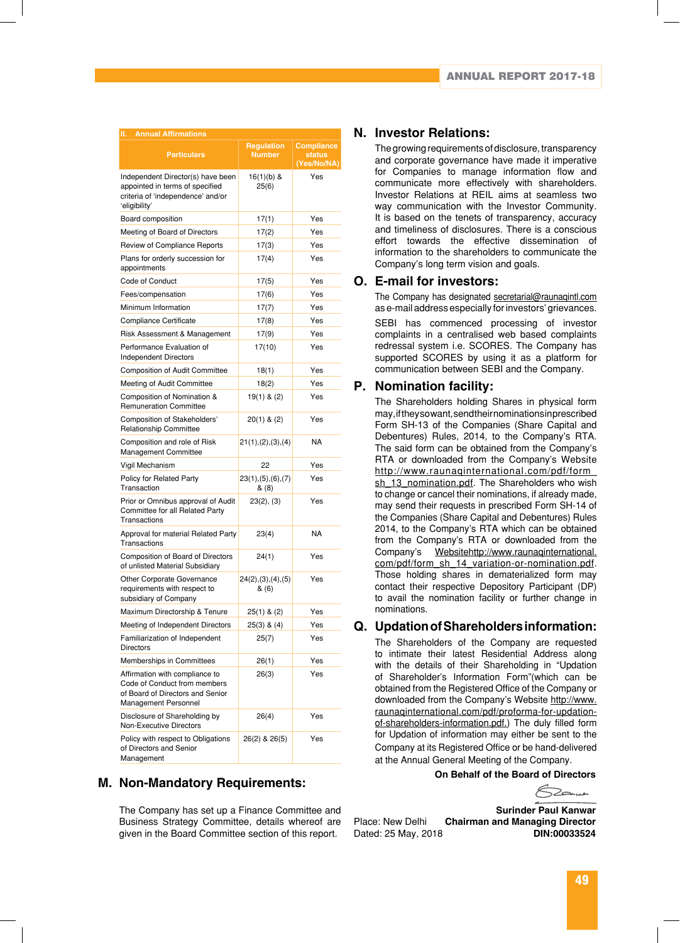| Ш.<br><b>Annual Affirmations</b>                                                                                           |                                    |                                                   |  |  |
|----------------------------------------------------------------------------------------------------------------------------|------------------------------------|---------------------------------------------------|--|--|
| <b>Particulars</b>                                                                                                         | <b>Regulation</b><br><b>Number</b> | <b>Compliance</b><br><b>status</b><br>(Yes/No/NA) |  |  |
| Independent Director(s) have been<br>appointed in terms of specified<br>criteria of 'independence' and/or<br>'eligibility' | $16(1)(b)$ &<br>25(6)              | Yes                                               |  |  |
| Board composition                                                                                                          | 17(1)                              | Yes                                               |  |  |
| Meeting of Board of Directors                                                                                              | 17(2)                              | Yes                                               |  |  |
| Review of Compliance Reports                                                                                               | 17(3)                              | Yes                                               |  |  |
| Plans for orderly succession for<br>appointments                                                                           | 17(4)                              | Yes                                               |  |  |
| Code of Conduct                                                                                                            | 17(5)                              | Yes                                               |  |  |
| Fees/compensation                                                                                                          | 17(6)                              | Yes                                               |  |  |
| Minimum Information                                                                                                        | 17(7)                              | Yes                                               |  |  |
| Compliance Certificate                                                                                                     | 17(8)                              | Yes                                               |  |  |
| Risk Assessment & Management                                                                                               | 17(9)                              | Yes                                               |  |  |
| Performance Evaluation of<br><b>Independent Directors</b>                                                                  | 17(10)                             | Yes                                               |  |  |
| <b>Composition of Audit Committee</b>                                                                                      | 18(1)                              | Yes                                               |  |  |
| Meeting of Audit Committee                                                                                                 | 18(2)                              | Yes                                               |  |  |
| Composition of Nomination &<br><b>Remuneration Committee</b>                                                               | $19(1)$ & (2)                      | Yes                                               |  |  |
| Composition of Stakeholders'<br><b>Relationship Committee</b>                                                              | $20(1)$ & $(2)$                    | Yes                                               |  |  |
| Composition and role of Risk<br>Management Committee                                                                       | 21(1), (2), (3), (4)               | <b>NA</b>                                         |  |  |
| Vigil Mechanism                                                                                                            | 22                                 | Yes                                               |  |  |
| Policy for Related Party<br>Transaction                                                                                    | 23(1), (5), (6), (7)<br>&(8)       | Yes                                               |  |  |
| Prior or Omnibus approval of Audit<br>Committee for all Related Party<br>Transactions                                      | 23(2), (3)                         | Yes                                               |  |  |
| Approval for material Related Party<br>Transactions                                                                        | 23(4)                              | <b>NA</b>                                         |  |  |
| Composition of Board of Directors<br>of unlisted Material Subsidiary                                                       | 24(1)                              | Yes                                               |  |  |
| Other Corporate Governance<br>requirements with respect to<br>subsidiary of Company                                        | 24(2), (3), (4), (5)<br>& (6)      | Yes                                               |  |  |
| Maximum Directorship & Tenure                                                                                              | $25(1)$ & $(2)$                    | Yes                                               |  |  |
| Meeting of Independent Directors                                                                                           | 25(3) & (4)                        | Yes                                               |  |  |
| Familiarization of Independent<br><b>Directors</b>                                                                         | 25(7)                              | Yes                                               |  |  |
| Memberships in Committees                                                                                                  | 26(1)                              | Yes                                               |  |  |
| Affirmation with compliance to<br>Code of Conduct from members<br>of Board of Directors and Senior<br>Management Personnel | 26(3)                              | Yes                                               |  |  |
| Disclosure of Shareholding by<br>Non-Executive Directors                                                                   | 26(4)                              | Yes                                               |  |  |
| Policy with respect to Obligations<br>of Directors and Senior<br>Management                                                | 26(2) & 26(5)                      | Yes                                               |  |  |

### **M. Non-Mandatory Requirements:**

The Company has set up a Finance Committee and Business Strategy Committee, details whereof are given in the Board Committee section of this report.

### **N. Investor Relations:**

The growing requirements of disclosure, transparency and corporate governance have made it imperative for Companies to manage information flow and communicate more effectively with shareholders. Investor Relations at REIL aims at seamless two way communication with the Investor Community. It is based on the tenets of transparency, accuracy and timeliness of disclosures. There is a conscious effort towards the effective dissemination of information to the shareholders to communicate the Company's long term vision and goals.

### **O. E-mail for investors:**

The Company has designated secretarial@raunaqintl.com as e-mail address especially for investors' grievances. SEBI has commenced processing of investor complaints in a centralised web based complaints redressal system i.e. SCORES. The Company has supported SCORES by using it as a platform for communication between SEBI and the Company.

#### **P. Nomination facility:**

The Shareholders holding Shares in physical form may, if they so want, send their nominations in prescribed Form SH-13 of the Companies (Share Capital and Debentures) Rules, 2014, to the Company's RTA. The said form can be obtained from the Company's RTA or downloaded from the Company's Website http://www.raunaqinternational.com/pdf/form\_ sh\_13\_nomination.pdf. The Shareholders who wish to change or cancel their nominations, if already made, may send their requests in prescribed Form SH-14 of the Companies (Share Capital and Debentures) Rules 2014, to the Company's RTA which can be obtained from the Company's RTA or downloaded from the Company's Websitehttp://www.raunaqinternational. com/pdf/form\_sh\_14\_variation-or-nomination.pdf. Those holding shares in dematerialized form may contact their respective Depository Participant (DP) to avail the nomination facility or further change in nominations.

### **Q. Updation of Shareholders information:**

The Shareholders of the Company are requested to intimate their latest Residential Address along with the details of their Shareholding in "Updation of Shareholder's Information Form"(which can be obtained from the Registered Office of the Company or downloaded from the Company's Website http://www. raunaqinternational.com/pdf/proforma-for-updationof-shareholders-information.pdf.) The duly filled form for Updation of information may either be sent to the Company at its Registered Office or be hand-delivered at the Annual General Meeting of the Company.

#### **On Behalf of the Board of Directors**

⊃؎……

**Surinder Paul Kanwar**<br>Place: New Delhi **Chairman and Managing Director** Place: New Delhi **Chairman and Managing Director** Dated: 25 May, 2018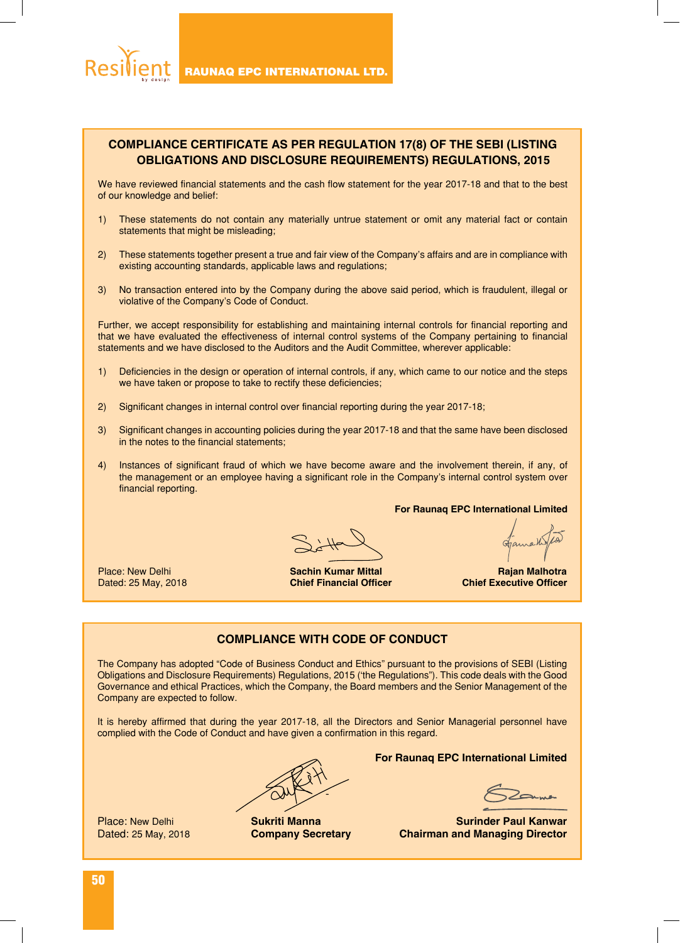Resilient Raunaq EPC INTERNATIONAL LTD.

### **COMPLIANCE CERTIFICATE AS PER REGULATION 17(8) OF THE SEBI (LISTING OBLIGATIONS AND DISCLOSURE REQUIREMENTS) REGULATIONS, 2015**

We have reviewed financial statements and the cash flow statement for the year 2017-18 and that to the best of our knowledge and belief:

- 1) These statements do not contain any materially untrue statement or omit any material fact or contain statements that might be misleading;
- 2) These statements together present a true and fair view of the Company's affairs and are in compliance with existing accounting standards, applicable laws and regulations;
- 3) No transaction entered into by the Company during the above said period, which is fraudulent, illegal or violative of the Company's Code of Conduct.

Further, we accept responsibility for establishing and maintaining internal controls for financial reporting and that we have evaluated the effectiveness of internal control systems of the Company pertaining to financial statements and we have disclosed to the Auditors and the Audit Committee, wherever applicable:

- 1) Deficiencies in the design or operation of internal controls, if any, which came to our notice and the steps we have taken or propose to take to rectify these deficiencies;
- 2) Significant changes in internal control over financial reporting during the year 2017-18;
- 3) Significant changes in accounting policies during the year 2017-18 and that the same have been disclosed in the notes to the financial statements;
- 4) Instances of significant fraud of which we have become aware and the involvement therein, if any, of the management or an employee having a significant role in the Company's internal control system over financial reporting.

**For Raunaq EPC International Limited**

Place: New Delhi **Sachin Kumar Mittal Rajan Malhotra** 

**Chief Executive Officer** 

#### **COMPLIANCE WITH CODE OF CONDUCT**

The Company has adopted "Code of Business Conduct and Ethics" pursuant to the provisions of SEBI (Listing Obligations and Disclosure Requirements) Regulations, 2015 ('the Regulations"). This code deals with the Good Governance and ethical Practices, which the Company, the Board members and the Senior Management of the Company are expected to follow.

It is hereby affirmed that during the year 2017-18, all the Directors and Senior Managerial personnel have complied with the Code of Conduct and have given a confirmation in this regard.

**For Raunaq EPC International Limited**

Place: New Delhi **Sukriti Manna Surinder Paul Kanwar**  Dated: 25 May, 2018 **Company Secretary Chairman and Managing Director**